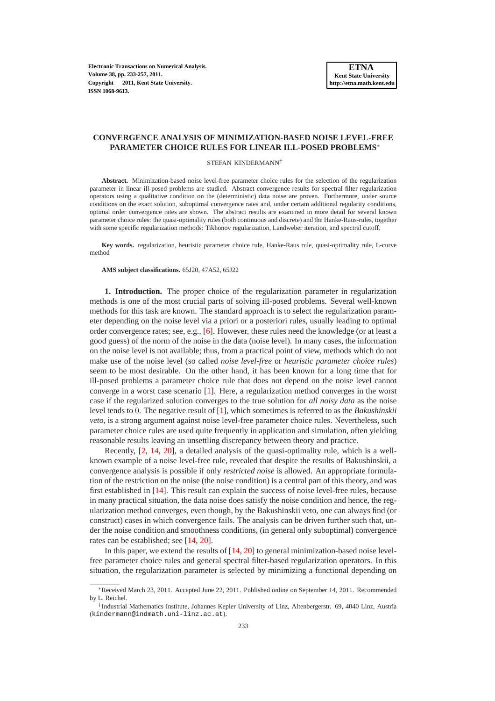**Electronic Transactions on Numerical Analysis. Volume 38, pp. 233-257, 2011. Copyright 2011, Kent State University. ISSN 1068-9613.**

#### **CONVERGENCE ANALYSIS OF MINIMIZATION-BASED NOISE LEVEL-FREE PARAMETER CHOICE RULES FOR LINEAR ILL-POSED PROBLEMS**∗

#### STEFAN KINDERMANN†

**Abstract.** Minimization-based noise level-free parameter choice rules for the selection of the regularization parameter in linear ill-posed problems are studied. Abstract convergence results for spectral filter regularization operators using a qualitative condition on the (deterministic) data noise are proven. Furthermore, under source conditions on the exact solution, suboptimal convergence rates and, under certain additional regularity conditions, optimal order convergence rates are shown. The abstract results are examined in more detail for several known parameter choice rules: the quasi-optimality rules (both continuous and discrete) and the Hanke-Raus-rules, together with some specific regularization methods: Tikhonov regularization, Landweber iteration, and spectral cutoff.

**Key words.** regularization, heuristic parameter choice rule, Hanke-Raus rule, quasi-optimality rule, L-curve method

#### **AMS subject classifications.** 65J20, 47A52, 65J22

**1. Introduction.** The proper choice of the regularization parameter in regularization methods is one of the most crucial parts of solving ill-posed problems. Several well-known methods for this task are known. The standard approach is to select the regularization parameter depending on the noise level via a priori or a posteriori rules, usually leading to optimal order convergence rates; see, e.g., [\[6\]](#page-24-0). However, these rules need the knowledge (or at least a good guess) of the norm of the noise in the data (noise level). In many cases, the information on the noise level is not available; thus, from a practical point of view, methods which do not make use of the noise level (so called *noise level-free* or *heuristic parameter choice rules*) seem to be most desirable. On the other hand, it has been known for a long time that for ill-posed problems a parameter choice rule that does not depend on the noise level cannot converge in a worst case scenario  $[1]$ . Here, a regularization method converges in the worst case if the regularized solution converges to the true solution for *all noisy data* as the noise level tends to 0. The negative result of [\[1\]](#page-24-1), which sometimes is referred to as the *Bakushinskii veto*, is a strong argument against noise level-free parameter choice rules. Nevertheless, such parameter choice rules are used quite frequently in application and simulation, often yielding reasonable results leaving an unsettling discrepancy between theory and practice.

Recently, [\[2,](#page-24-2) [14,](#page-24-3) [20\]](#page-24-4), a detailed analysis of the quasi-optimality rule, which is a wellknown example of a noise level-free rule, revealed that despite the results of Bakushinskii, a convergence analysis is possible if only *restricted noise* is allowed. An appropriate formulation of the restriction on the noise (the noise condition) is a central part of this theory, and was first established in [\[14\]](#page-24-3). This result can explain the success of noise level-free rules, because in many practical situation, the data noise does satisfy the noise condition and hence, the regularization method converges, even though, by the Bakushinskii veto, one can always find (or construct) cases in which convergence fails. The analysis can be driven further such that, under the noise condition and smoothness conditions, (in general only suboptimal) convergence rates can be established; see [\[14,](#page-24-3) [20\]](#page-24-4).

In this paper, we extend the results of  $[14, 20]$  $[14, 20]$  to general minimization-based noise levelfree parameter choice rules and general spectral filter-based regularization operators. In this situation, the regularization parameter is selected by minimizing a functional depending on

<sup>∗</sup>Received March 23, 2011. Accepted June 22, 2011. Published online on September 14, 2011. Recommended by L. Reichel.

<sup>†</sup> Industrial Mathematics Institute, Johannes Kepler University of Linz, Altenbergerstr. 69, 4040 Linz, Austria (kindermann@indmath.uni-linz.ac.at).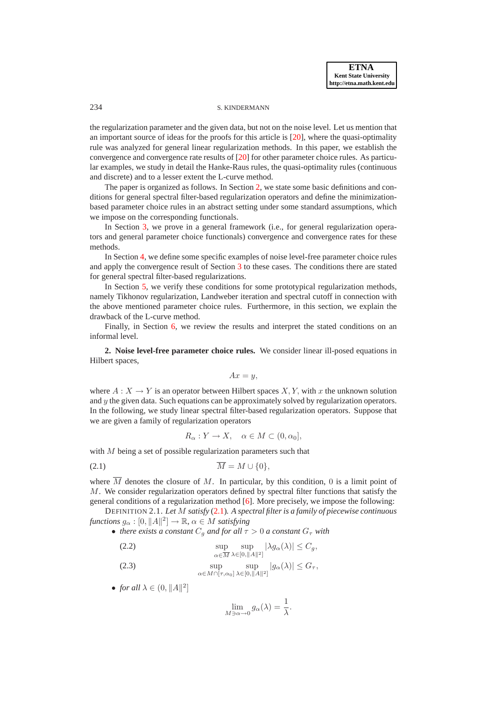# 234 S. KINDERMANN

the regularization parameter and the given data, but not on the noise level. Let us mention that an important source of ideas for the proofs for this article is [\[20\]](#page-24-4), where the quasi-optimality rule was analyzed for general linear regularization methods. In this paper, we establish the convergence and convergence rate results of [\[20\]](#page-24-4) for other parameter choice rules. As particular examples, we study in detail the Hanke-Raus rules, the quasi-optimality rules (continuous and discrete) and to a lesser extent the L-curve method.

The paper is organized as follows. In Section [2,](#page-1-0) we state some basic definitions and conditions for general spectral filter-based regularization operators and define the minimizationbased parameter choice rules in an abstract setting under some standard assumptions, which we impose on the corresponding functionals.

In Section [3,](#page-4-0) we prove in a general framework (i.e., for general regularization operators and general parameter choice functionals) convergence and convergence rates for these methods.

In Section [4,](#page-10-0) we define some specific examples of noise level-free parameter choice rules and apply the convergence result of Section [3](#page-4-0) to these cases. The conditions there are stated for general spectral filter-based regularizations.

In Section [5,](#page-17-0) we verify these conditions for some prototypical regularization methods, namely Tikhonov regularization, Landweber iteration and spectral cutoff in connection with the above mentioned parameter choice rules. Furthermore, in this section, we explain the drawback of the L-curve method.

Finally, in Section [6,](#page-22-0) we review the results and interpret the stated conditions on an informal level.

<span id="page-1-0"></span>**2. Noise level-free parameter choice rules.** We consider linear ill-posed equations in Hilbert spaces,

<span id="page-1-1"></span>
$$
Ax = y,
$$

where  $A: X \to Y$  is an operator between Hilbert spaces X, Y, with x the unknown solution and  $y$  the given data. Such equations can be approximately solved by regularization operators. In the following, we study linear spectral filter-based regularization operators. Suppose that we are given a family of regularization operators

$$
R_{\alpha}: Y \to X, \quad \alpha \in M \subset (0, \alpha_0],
$$

with M being a set of possible regularization parameters such that

(2.1)  $\overline{M} = M \cup \{0\},\$ 

where  $\overline{M}$  denotes the closure of M. In particular, by this condition, 0 is a limit point of M. We consider regularization operators defined by spectral filter functions that satisfy the general conditions of a regularization method [\[6\]](#page-24-0). More precisely, we impose the following:

DEFINITION 2.1. *Let* M *satisfy* [\(2.1\)](#page-1-1)*. A spectral filter is a family of piecewise continuous*  $\mathit{functions}\ g_{\alpha} : [0, \|A\|^2] \to \mathbb{R},\ \alpha \in M\ \mathit{satisfying}$ 

• *there exists a constant*  $C_q$  *and for all*  $\tau > 0$  *a constant*  $G_\tau$  *with* 

(2.2) 
$$
\sup_{\alpha \in \overline{M}} \sup_{\lambda \in [0, \Vert A \Vert^2]} |\lambda g_{\alpha}(\lambda)| \leq C_g,
$$

(2.3) 
$$
\sup_{\alpha \in M \cap [\tau, \alpha_0]}\sup_{\lambda \in [0, \|\mathcal{A}\|^2]} |g_{\alpha}(\lambda)| \leq G_{\tau},
$$

• *for all*  $\lambda \in (0, \|A\|^2]$ 

<span id="page-1-2"></span>
$$
\lim_{M \ni \alpha \to 0} g_{\alpha}(\lambda) = \frac{1}{\lambda}.
$$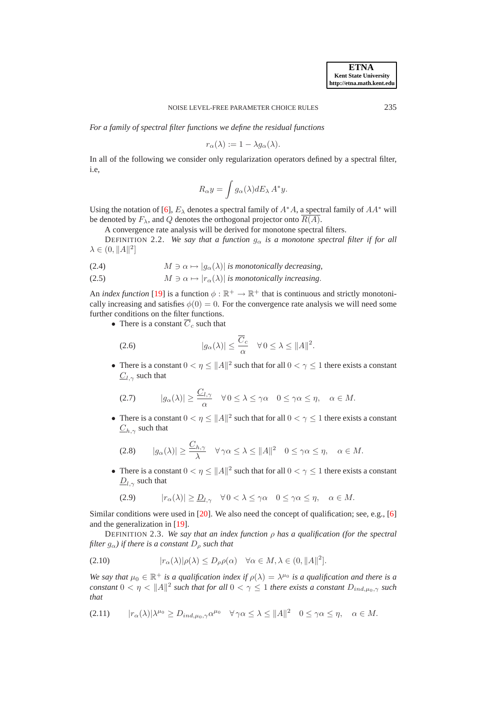*For a family of spectral filter functions we define the residual functions*

$$
r_{\alpha}(\lambda) := 1 - \lambda g_{\alpha}(\lambda).
$$

In all of the following we consider only regularization operators defined by a spectral filter, i.e,

$$
R_{\alpha}y = \int g_{\alpha}(\lambda) dE_{\lambda} A^* y.
$$

Using the notation of [\[6\]](#page-24-0),  $E_\lambda$  denotes a spectral family of  $A^*A$ , a spectral family of  $AA^*$  will be denoted by  $F_{\lambda}$ , and Q denotes the orthogonal projector onto  $\overline{R(A)}$ .

A convergence rate analysis will be derived for monotone spectral filters.

DEFINITION 2.2. *We say that a function*  $g_{\alpha}$  *is a monotone spectral filter if for all*  $\lambda \in (0, \|A\|^2]$ 

<span id="page-2-5"></span>(2.4) 
$$
M \ni \alpha \mapsto |g_{\alpha}(\lambda)| \text{ is monotonically decreasing},
$$

(2.5)  $M \ni \alpha \mapsto |r_{\alpha}(\lambda)|$  *is monotonically increasing*.

An *index function* [\[19\]](#page-24-5) is a function  $\phi : \mathbb{R}^+ \to \mathbb{R}^+$  that is continuous and strictly monotonically increasing and satisfies  $\phi(0) = 0$ . For the convergence rate analysis we will need some further conditions on the filter functions.

• There is a constant  $\overline{C}_c$  such that

<span id="page-2-1"></span>(2.6) 
$$
|g_{\alpha}(\lambda)| \leq \frac{\overline{C}_{c}}{\alpha} \quad \forall 0 \leq \lambda \leq ||A||^{2}.
$$

• There is a constant  $0 < \eta \le ||A||^2$  such that for all  $0 < \gamma \le 1$  there exists a constant  $C_{l,\gamma}$  such that

<span id="page-2-4"></span>
$$
(2.7) \t |g_{\alpha}(\lambda)| \ge \frac{C_{l,\gamma}}{\alpha} \quad \forall \, 0 \le \lambda \le \gamma \alpha \quad 0 \le \gamma \alpha \le \eta, \quad \alpha \in M.
$$

• There is a constant  $0 < \eta \le ||A||^2$  such that for all  $0 < \gamma \le 1$  there exists a constant  $C_{h,\gamma}$  such that

<span id="page-2-3"></span>
$$
(2.8) \qquad |g_{\alpha}(\lambda)| \ge \frac{C_{h,\gamma}}{\lambda} \quad \forall \gamma \alpha \le \lambda \le ||A||^2 \quad 0 \le \gamma \alpha \le \eta, \quad \alpha \in M.
$$

• There is a constant  $0 < \eta \le ||A||^2$  such that for all  $0 < \gamma \le 1$  there exists a constant  $\underline{D}_{l,\gamma}$  such that

<span id="page-2-6"></span><span id="page-2-2"></span><span id="page-2-0"></span>
$$
(2.9) \t|r_{\alpha}(\lambda)| \geq \underline{D}_{l,\gamma} \quad \forall \, 0 < \lambda \leq \gamma \alpha \quad 0 \leq \gamma \alpha \leq \eta, \quad \alpha \in M.
$$

Similar conditions were used in [\[20\]](#page-24-4). We also need the concept of qualification; see, e.g., [\[6\]](#page-24-0) and the generalization in [\[19\]](#page-24-5).

DEFINITION 2.3. *We say that an index function* ρ *has a qualification (for the spectral filter*  $g_{\alpha}$ *) if there is a constant*  $D_{\rho}$  *such that* 

(2.10) 
$$
|r_{\alpha}(\lambda)|\rho(\lambda) \leq D_{\rho}\rho(\alpha) \quad \forall \alpha \in M, \lambda \in (0, \|A\|^2].
$$

We say that  $\mu_0 \in \mathbb{R}^+$  is a qualification index if  $\rho(\lambda) = \lambda^{\mu_0}$  is a qualification and there is a *constant*  $0 < \eta < ||A||^2$  *such that for all*  $0 < \gamma \le 1$  *there exists a constant*  $D_{ind,\mu_0,\gamma}$  *such that*

<span id="page-2-7"></span>
$$
(2.11) \t|r_{\alpha}(\lambda)|\lambda^{\mu_0}\geq D_{ind,\mu_0,\gamma}\alpha^{\mu_0}\quad\forall\,\gamma\alpha\leq\lambda\leq\|A\|^2\quad 0\leq\gamma\alpha\leq\eta,\quad\alpha\in M.
$$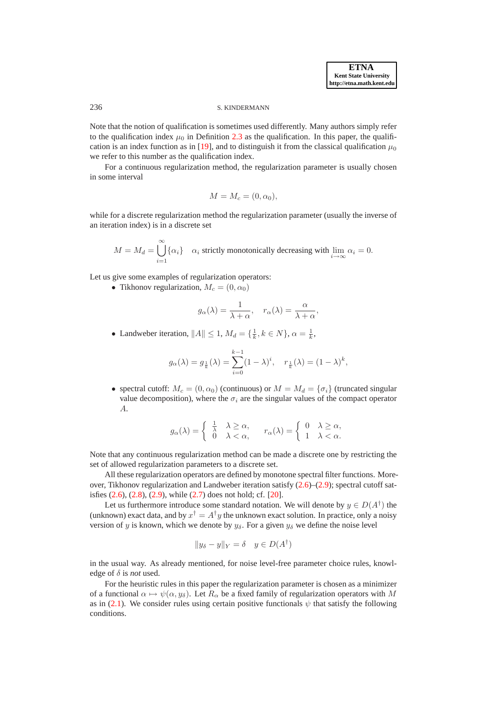#### 236 S. KINDERMANN

Note that the notion of qualification is sometimes used differently. Many authors simply refer to the qualification index  $\mu_0$  in Definition [2.3](#page-2-0) as the qualification. In this paper, the qualifi-cation is an index function as in [\[19\]](#page-24-5), and to distinguish it from the classical qualification  $\mu_0$ we refer to this number as the qualification index.

For a continuous regularization method, the regularization parameter is usually chosen in some interval

$$
M = M_c = (0, \alpha_0),
$$

while for a discrete regularization method the regularization parameter (usually the inverse of an iteration index) is in a discrete set

 $M = M_d = \bigcup^{\infty}$  $\bigcup_{i=1} {\alpha_i}$   $\alpha_i$  strictly monotonically decreasing with  $\lim_{i\to\infty} \alpha_i = 0$ .

Let us give some examples of regularization operators:

• Tikhonov regularization,  $M_c = (0, \alpha_0)$ 

$$
g_{\alpha}(\lambda) = \frac{1}{\lambda + \alpha}, \quad r_{\alpha}(\lambda) = \frac{\alpha}{\lambda + \alpha},
$$

• Landweber iteration,  $||A|| \leq 1$ ,  $M_d = \{\frac{1}{k}, k \in N\}$ ,  $\alpha = \frac{1}{k}$ ,

$$
g_{\alpha}(\lambda) = g_{\frac{1}{k}}(\lambda) = \sum_{i=0}^{k-1} (1 - \lambda)^i, \quad r_{\frac{1}{k}}(\lambda) = (1 - \lambda)^k,
$$

• spectral cutoff:  $M_c = (0, \alpha_0)$  (continuous) or  $M = M_d = {\sigma_i}$  (truncated singular value decomposition), where the  $\sigma_i$  are the singular values of the compact operator A.

$$
g_{\alpha}(\lambda) = \begin{cases} \frac{1}{\lambda} & \lambda \geq \alpha, \\ 0 & \lambda < \alpha, \end{cases} \quad r_{\alpha}(\lambda) = \begin{cases} 0 & \lambda \geq \alpha, \\ 1 & \lambda < \alpha. \end{cases}
$$

Note that any continuous regularization method can be made a discrete one by restricting the set of allowed regularization parameters to a discrete set.

All these regularization operators are defined by monotone spectral filter functions. Moreover, Tikhonov regularization and Landweber iteration satisfy [\(2.6\)](#page-2-1)–[\(2.9\)](#page-2-2); spectral cutoff satisfies [\(2.6\)](#page-2-1), [\(2.8\)](#page-2-3), [\(2.9\)](#page-2-2), while [\(2.7\)](#page-2-4) does not hold; cf. [\[20\]](#page-24-4).

Let us furthermore introduce some standard notation. We will denote by  $y \in D(A^{\dagger})$  the (unknown) exact data, and by  $x^{\dagger} = A^{\dagger}y$  the unknown exact solution. In practice, only a noisy version of y is known, which we denote by  $y_\delta$ . For a given  $y_\delta$  we define the noise level

$$
||y_{\delta} - y||_Y = \delta \quad y \in D(A^{\dagger})
$$

in the usual way. As already mentioned, for noise level-free parameter choice rules, knowledge of  $\delta$  is *not* used.

For the heuristic rules in this paper the regularization parameter is chosen as a minimizer of a functional  $\alpha \mapsto \psi(\alpha, y_\delta)$ . Let  $R_\alpha$  be a fixed family of regularization operators with M as in [\(2.1\)](#page-1-1). We consider rules using certain positive functionals  $\psi$  that satisfy the following conditions.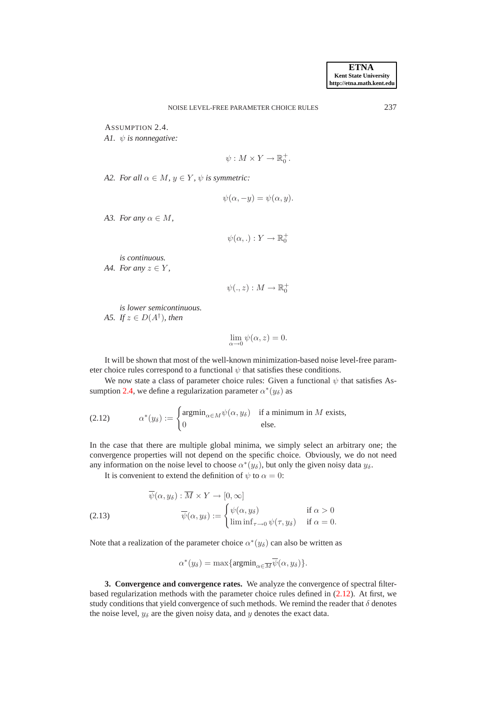<span id="page-4-6"></span><span id="page-4-1"></span>ASSUMPTION 2.4.

*A1.* ψ *is nonnegative:*

$$
\psi: M \times Y \to \mathbb{R}_0^+.
$$

<span id="page-4-5"></span>*A2. For all*  $\alpha \in M$ *,*  $y \in Y$ *,*  $\psi$  *is symmetric:* 

$$
\psi(\alpha, -y) = \psi(\alpha, y).
$$

<span id="page-4-3"></span>*A3. For any*  $\alpha \in M$ ,

$$
\psi(\alpha,.) : Y \to \mathbb{R}_0^+
$$

*is continuous.*

<span id="page-4-7"></span>*A4. For any*  $z \in Y$ ,

$$
\psi(.,z):M\to\mathbb{R}_0^+
$$

<span id="page-4-4"></span>*is lower semicontinuous. A5. If*  $z \in D(A^{\dagger})$ *, then* 

<span id="page-4-2"></span>
$$
\lim_{\alpha \to 0} \psi(\alpha, z) = 0.
$$

It will be shown that most of the well-known minimization-based noise level-free parameter choice rules correspond to a functional  $\psi$  that satisfies these conditions.

We now state a class of parameter choice rules: Given a functional  $\psi$  that satisfies As-sumption [2.4,](#page-4-1) we define a regularization parameter  $\alpha^*(y_\delta)$  as

(2.12) 
$$
\alpha^*(y_\delta) := \begin{cases} \operatorname{argmin}_{\alpha \in M} \psi(\alpha, y_\delta) & \text{if a minimum in } M \text{ exists,} \\ 0 & \text{else.} \end{cases}
$$

In the case that there are multiple global minima, we simply select an arbitrary one; the convergence properties will not depend on the specific choice. Obviously, we do not need any information on the noise level to choose  $\alpha^*(y_\delta)$ , but only the given noisy data  $y_\delta$ .

It is convenient to extend the definition of  $\psi$  to  $\alpha = 0$ :

(2.13) 
$$
\overline{\psi}(\alpha, y_{\delta}) : \overline{M} \times Y \to [0, \infty] \n\overline{\psi}(\alpha, y_{\delta}) := \begin{cases}\n\psi(\alpha, y_{\delta}) & \text{if } \alpha > 0 \\
\liminf_{\tau \to 0} \psi(\tau, y_{\delta}) & \text{if } \alpha = 0.\n\end{cases}
$$

Note that a realization of the parameter choice  $\alpha^*(y_\delta)$  can also be written as

$$
\alpha^*(y_\delta) = \max\{\operatorname{argmin}_{\alpha \in \overline{M}} \overline{\psi}(\alpha, y_\delta)\}.
$$

<span id="page-4-0"></span>**3. Convergence and convergence rates.** We analyze the convergence of spectral filterbased regularization methods with the parameter choice rules defined in [\(2.12\)](#page-4-2). At first, we study conditions that yield convergence of such methods. We remind the reader that  $\delta$  denotes the noise level,  $y_{\delta}$  are the given noisy data, and y denotes the exact data.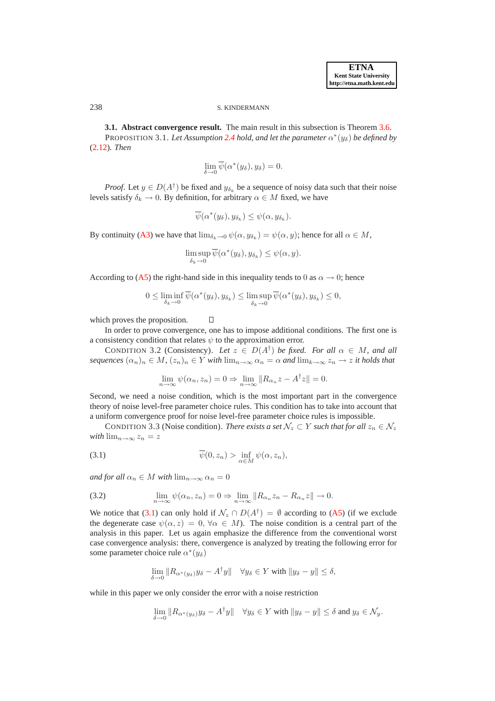#### 238 S. KINDERMANN

**3.1. Abstract convergence result.** The main result in this subsection is Theorem [3.6.](#page-6-0) PROPOSITION 3.1. Let Assumption [2.4](#page-4-1) hold, and let the parameter  $\alpha^*(y_\delta)$  be defined by [\(2.12\)](#page-4-2)*. Then*

<span id="page-5-2"></span>
$$
\lim_{\delta \to 0} \overline{\psi}(\alpha^*(y_\delta), y_\delta) = 0.
$$

*Proof.* Let  $y \in D(A^{\dagger})$  be fixed and  $y_{\delta_k}$  be a sequence of noisy data such that their noise levels satisfy  $\delta_k \to 0$ . By definition, for arbitrary  $\alpha \in M$  fixed, we have

$$
\overline{\psi}(\alpha^*(y_\delta), y_{\delta_k}) \leq \psi(\alpha, y_{\delta_k}).
$$

By continuity ([A3\)](#page-4-3) we have that  $\lim_{\delta_k \to 0} \psi(\alpha, y_{\delta_k}) = \psi(\alpha, y)$ ; hence for all  $\alpha \in M$ ,

$$
\limsup_{\delta_k \to 0} \overline{\psi}(\alpha^*(y_\delta), y_{\delta_k}) \leq \psi(\alpha, y).
$$

According to ([A5\)](#page-4-4) the right-hand side in this inequality tends to 0 as  $\alpha \to 0$ ; hence

<span id="page-5-3"></span> $\Box$ 

$$
0 \leq \liminf_{\delta_k \to 0} \overline{\psi}(\alpha^*(y_\delta), y_{\delta_k}) \leq \limsup_{\delta_k \to 0} \overline{\psi}(\alpha^*(y_\delta), y_{\delta_k}) \leq 0,
$$

which proves the proposition.

In order to prove convergence, one has to impose additional conditions. The first one is a consistency condition that relates  $\psi$  to the approximation error.

<span id="page-5-1"></span>CONDITION 3.2 (Consistency). Let  $z \in D(A^{\dagger})$  be fixed. For all  $\alpha \in M$ , and all *sequences*  $(\alpha_n)_n \in M$ ,  $(z_n)_n \in Y$  *with*  $\lim_{n \to \infty} \alpha_n = \alpha$  *and*  $\lim_{k \to \infty} z_n \to z$  *it holds that* 

<span id="page-5-4"></span><span id="page-5-0"></span>
$$
\lim_{n \to \infty} \psi(\alpha_n, z_n) = 0 \Rightarrow \lim_{n \to \infty} ||R_{\alpha_n} z - A^{\dagger} z|| = 0.
$$

Second, we need a noise condition, which is the most important part in the convergence theory of noise level-free parameter choice rules. This condition has to take into account that a uniform convergence proof for noise level-free parameter choice rules is impossible.

CONDITION 3.3 (Noise condition). *There exists a set*  $\mathcal{N}_z \subset Y$  *such that for all*  $z_n \in \mathcal{N}_z$ *with*  $\lim_{n\to\infty} z_n = z$ 

(3.1) 
$$
\overline{\psi}(0,z_n) > \inf_{\alpha \in M} \psi(\alpha,z_n),
$$

*and for all*  $\alpha_n \in M$  *with*  $\lim_{n \to \infty} \alpha_n = 0$ 

(3.2) 
$$
\lim_{n \to \infty} \psi(\alpha_n, z_n) = 0 \Rightarrow \lim_{n \to \infty} ||R_{\alpha_n} z_n - R_{\alpha_n} z|| \to 0.
$$

We notice that [\(3.1\)](#page-5-0) can only hold if  $\mathcal{N}_z \cap D(A^{\dagger}) = \emptyset$  according to ([A5\)](#page-4-4) (if we exclude the degenerate case  $\psi(\alpha, z) = 0$ ,  $\forall \alpha \in M$ ). The noise condition is a central part of the analysis in this paper. Let us again emphasize the difference from the conventional worst case convergence analysis: there, convergence is analyzed by treating the following error for some parameter choice rule  $\alpha^*(y_\delta)$ 

$$
\lim_{\delta \to 0} \|R_{\alpha^*(y_\delta)} y_\delta - A^{\dagger} y\| \quad \forall y_\delta \in Y \text{ with } \|y_\delta - y\| \le \delta,
$$

while in this paper we only consider the error with a noise restriction

$$
\lim_{\delta \to 0} \|R_{\alpha^*(y_\delta)} y_\delta - A^{\dagger} y\| \quad \forall y_\delta \in Y \text{ with } \|y_\delta - y\| \le \delta \text{ and } y_\delta \in \mathcal{N}_y.
$$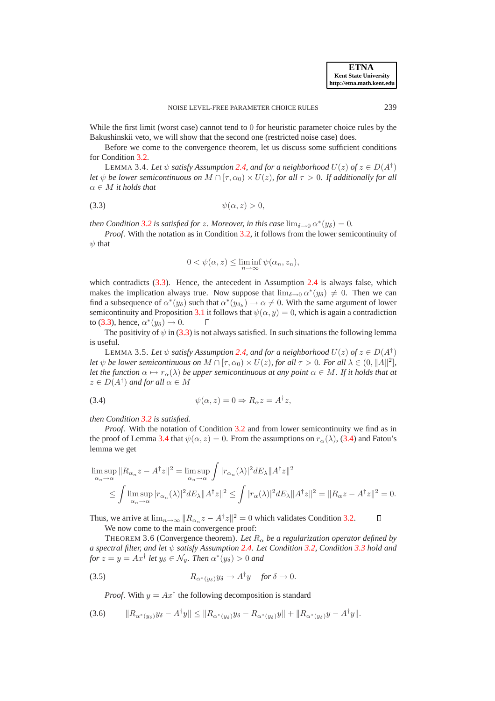While the first limit (worst case) cannot tend to 0 for heuristic parameter choice rules by the Bakushinskii veto, we will show that the second one (restricted noise case) does.

<span id="page-6-2"></span>Before we come to the convergence theorem, let us discuss some sufficient conditions for Condition [3.2.](#page-5-1)

LEMMA 3.4. Let  $\psi$  *satisfy Assumption [2.4,](#page-4-1) and for a neighborhood*  $U(z)$  *of*  $z \in D(A^{\dagger})$ *let*  $\psi$  *be lower semicontinuous on*  $M \cap [\tau, \alpha_0) \times U(z)$ *, for all*  $\tau > 0$ *. If additionally for all* α ∈ M *it holds that*

<span id="page-6-1"></span>
$$
(3.3) \t\t\t \psi(\alpha, z) > 0,
$$

*then Condition* [3.2](#page-5-1) *is satisfied for z. Moreover, in this case*  $\lim_{\delta \to 0} \alpha^*(y_\delta) = 0$ .

*Proof.* With the notation as in Condition [3.2,](#page-5-1) it follows from the lower semicontinuity of  $\psi$  that

$$
0 < \psi(\alpha, z) \le \liminf_{n \to \infty} \psi(\alpha_n, z_n),
$$

which contradicts [\(3.3\)](#page-6-1). Hence, the antecedent in Assumption [2.4](#page-4-1) is always false, which makes the implication always true. Now suppose that  $\lim_{\delta \to 0} \alpha^*(y_\delta) \neq 0$ . Then we can find a subsequence of  $\alpha^*(y_\delta)$  such that  $\alpha^*(y_{\delta_k}) \to \alpha \neq 0$ . With the same argument of lower semicontinuity and Proposition [3.1](#page-5-2) it follows that  $\psi(\alpha, y) = 0$ , which is again a contradiction to [\(3.3\)](#page-6-1), hence,  $\alpha^*(y_\delta) \to 0$ . О

<span id="page-6-6"></span>The positivity of  $\psi$  in [\(3.3\)](#page-6-1) is not always satisfied. In such situations the following lemma is useful.

LEMMA 3.5. Let  $\psi$  *satisfy Assumption [2.4,](#page-4-1) and for a neighborhood*  $U(z)$  *of*  $z \in D(A^{\dagger})$ *let*  $\psi$  *be lower semicontinuous on*  $M \cap [\tau, \alpha_0) \times U(z)$ , for all  $\tau > 0$ . For all  $\lambda \in (0, \|A\|^2]$ , *let the function*  $\alpha \mapsto r_{\alpha}(\lambda)$  *be upper semicontinuous at any point*  $\alpha \in M$ *. If it holds that at*  $z \in D(A^{\dagger})$  and for all  $\alpha \in M$ 

<span id="page-6-3"></span>(3.4) 
$$
\psi(\alpha, z) = 0 \Rightarrow R_{\alpha} z = A^{\dagger} z,
$$

*then Condition [3.2](#page-5-1) is satisfied.*

*Proof.* With the notation of Condition [3.2](#page-5-1) and from lower semicontinuity we find as in the proof of Lemma [3.4](#page-6-2) that  $\psi(\alpha, z) = 0$ . From the assumptions on  $r_{\alpha}(\lambda)$ , [\(3.4\)](#page-6-3) and Fatou's lemma we get

$$
\limsup_{\alpha_n \to \alpha} \|R_{\alpha_n} z - A^{\dagger} z\|^2 = \limsup_{\alpha_n \to \alpha} \int |r_{\alpha_n}(\lambda)|^2 dE_{\lambda} ||A^{\dagger} z||^2
$$
  
\n
$$
\leq \int \limsup_{\alpha_n \to \alpha} |r_{\alpha_n}(\lambda)|^2 dE_{\lambda} ||A^{\dagger} z||^2 \leq \int |r_{\alpha}(\lambda)|^2 dE_{\lambda} ||A^{\dagger} z||^2 = ||R_{\alpha} z - A^{\dagger} z||^2 = 0.
$$

Thus, we arrive at  $\lim_{n\to\infty} ||R_{\alpha_n}z - A^{\dagger}z||^2 = 0$  which validates Condition [3.2.](#page-5-1)

We now come to the main convergence proof:

THEOREM 3.6 (Convergence theorem). Let  $R_{\alpha}$  be a regularization operator defined by *a spectral filter, and let* ψ *satisfy Assumption [2.4.](#page-4-1) Let Condition [3.2,](#page-5-1) Condition [3.3](#page-5-3) hold and for*  $z = y = Ax^{\dagger}$  *let*  $y_{\delta} \in \mathcal{N}_y$ *. Then*  $\alpha^*(y_{\delta}) > 0$  *and* 

(3.5) 
$$
R_{\alpha^*(y_\delta)} y_\delta \to A^{\dagger} y \quad \text{for } \delta \to 0.
$$

*Proof.* With  $y = Ax^{\dagger}$  the following decomposition is standard

$$
(3.6) \t\t\t ||R_{\alpha^*(y_\delta)}y_\delta - A^{\dagger}y|| \le ||R_{\alpha^*(y_\delta)}y_\delta - R_{\alpha^*(y_\delta)}y|| + ||R_{\alpha^*(y_\delta)}y - A^{\dagger}y||.
$$

<span id="page-6-5"></span><span id="page-6-4"></span><span id="page-6-0"></span> $\Box$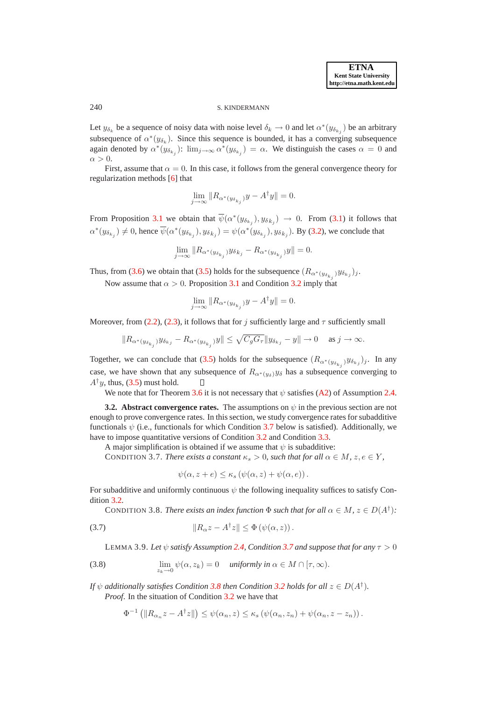# 240 S. KINDERMANN

Let  $y_{\delta_k}$  be a sequence of noisy data with noise level  $\delta_k \to 0$  and let  $\alpha^*(y_{\delta_{k_j}})$  be an arbitrary subsequence of  $\alpha^*(y_{\delta_k})$ . Since this sequence is bounded, it has a converging subsequence again denoted by  $\alpha^*(y_{\delta_{k_j}})$ :  $\lim_{j\to\infty} \alpha^*(y_{\delta_{k_j}}) = \alpha$ . We distinguish the cases  $\alpha = 0$  and  $\alpha > 0$ .

First, assume that  $\alpha = 0$ . In this case, it follows from the general convergence theory for regularization methods [\[6\]](#page-24-0) that

$$
\lim_{j \to \infty} \|R_{\alpha^*(y_{\delta_{k_j}})}y - A^{\dagger}y\| = 0.
$$

From Proposition [3.1](#page-5-2) we obtain that  $\psi(\alpha^*(y_{\delta_{k_j}}),y_{\delta_{k_j}}) \to 0$ . From [\(3.1\)](#page-5-0) it follows that  $\alpha^*(y_{\delta_{k_j}}) \neq 0$ , hence  $\psi(\alpha^*(y_{\delta_{k_j}}),y_{\delta_{k_j}}) = \psi(\alpha^*(y_{\delta_{k_j}}),y_{\delta_{k_j}})$ . By [\(3.2\)](#page-5-4), we conclude that

$$
\lim_{j \to \infty} ||R_{\alpha^*(y_{\delta_{k_j}})} y_{\delta_{k_j}} - R_{\alpha^*(y_{\delta_{k_j}})} y|| = 0.
$$

Thus, from [\(3.6\)](#page-6-4) we obtain that [\(3.5\)](#page-6-5) holds for the subsequence  $(R_{\alpha^*(y_{\delta_{k_j}})}y_{\delta_{k_j}})_{j}$ .

Now assume that  $\alpha > 0$ . Proposition [3.1](#page-5-2) and Condition [3.2](#page-5-1) imply that

$$
\lim_{j \to \infty} \|R_{\alpha^*(y_{\delta_{k_j}})}y - A^{\dagger}y\| = 0.
$$

Moreover, from [\(2.2\)](#page-1-2), [\(2.3\)](#page-1-2), it follows that for j sufficiently large and  $\tau$  sufficiently small

$$
\|R_{\alpha^*(y_{\delta_{k_j}})}y_{\delta_{k_j}}-R_{\alpha^*(y_{\delta_{k_j}})}y\|\leq \sqrt{C_gG_\tau}\|y_{\delta_{k_j}}-y\|\to 0\quad\text{ as }j\to\infty.
$$

Together, we can conclude that [\(3.5\)](#page-6-5) holds for the subsequence  $(R_{\alpha^*(y_{\delta_{k_j}})}y_{\delta_{k_j}})$ . In any case, we have shown that any subsequence of  $R_{\alpha*(y_\delta)}y_\delta$  has a subsequence converging to  $A^{\dagger}y$ , thus, [\(3.5\)](#page-6-5) must hold.  $\Box$ 

We note that for Theorem [3.6](#page-6-0) it is not necessary that  $\psi$  satisfies ([A2\)](#page-4-5) of Assumption [2.4.](#page-4-1)

**3.2. Abstract convergence rates.** The assumptions on  $\psi$  in the previous section are not enough to prove convergence rates. In this section, we study convergence rates for subadditive functionals  $\psi$  (i.e., functionals for which Condition [3.7](#page-7-0) below is satisfied). Additionally, we have to impose quantitative versions of Condition [3.2](#page-5-1) and Condition [3.3.](#page-5-3)

A major simplification is obtained if we assume that  $\psi$  is subadditive:

CONDITION 3.7. *There exists a constant*  $\kappa_s > 0$ *, such that for all*  $\alpha \in M$ *, z*, *e*  $\in Y$ *,* 

<span id="page-7-3"></span><span id="page-7-2"></span><span id="page-7-0"></span>
$$
\psi(\alpha, z + e) \leq \kappa_s \left( \psi(\alpha, z) + \psi(\alpha, e) \right).
$$

For subadditive and uniformly continuous  $\psi$  the following inequality suffices to satisfy Condition [3.2.](#page-5-1)

<span id="page-7-1"></span>CONDITION 3.8. *There exists an index function*  $\Phi$  *such that for all*  $\alpha \in M$ ,  $z \in D(A^{\dagger})$ *:* 

(3.7) 
$$
||R_{\alpha}z - A^{\dagger}z|| \leq \Phi(\psi(\alpha, z)).
$$

LEMMA 3.9. Let  $\psi$  *satisfy Assumption* [2.4,](#page-4-1) *Condition* [3.7](#page-7-0) *and suppose that for any*  $\tau > 0$ 

(3.8) 
$$
\lim_{z_k \to 0} \psi(\alpha, z_k) = 0 \quad \text{uniformly in } \alpha \in M \cap [\tau, \infty).
$$

*If*  $\psi$  *additionally satisfies Condition [3.8](#page-7-1) then Condition [3.2](#page-5-1) holds for all*  $z \in D(A^{\dagger})$ *. Proof*. In the situation of Condition [3.2](#page-5-1) we have that

$$
\Phi^{-1}\left(\|R_{\alpha_n}z - A^{\dagger}z\|\right) \leq \psi(\alpha_n, z) \leq \kappa_s\left(\psi(\alpha_n, z_n) + \psi(\alpha_n, z - z_n)\right).
$$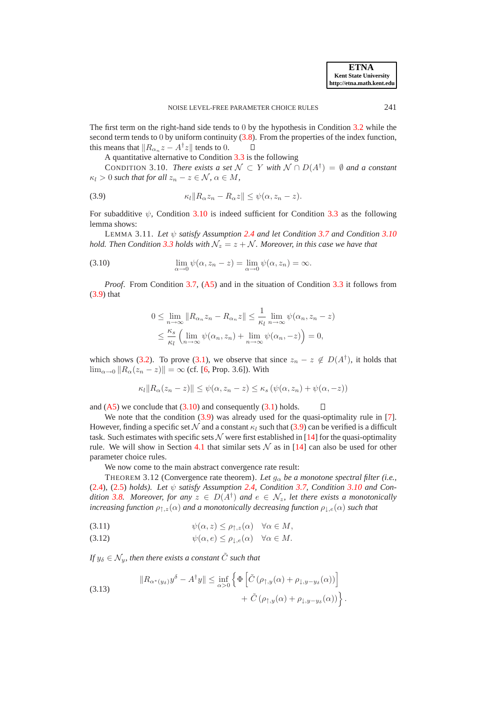The first term on the right-hand side tends to 0 by the hypothesis in Condition [3.2](#page-5-1) while the second term tends to  $0$  by uniform continuity  $(3.8)$ . From the properties of the index function, this means that  $||R_{\alpha_n}z - A^{\dagger}z||$  tends to 0.  $\Box$ 

<span id="page-8-1"></span><span id="page-8-0"></span>A quantitative alternative to Condition [3.3](#page-5-3) is the following

CONDITION 3.10. *There exists a set*  $\mathcal{N} \subset Y$  *with*  $\mathcal{N} \cap D(A^{\dagger}) = \emptyset$  *and a constant*  $\kappa_l > 0$  such that for all  $z_n - z \in \mathcal{N}, \, \alpha \in M$ ,

(3.9) 
$$
\kappa_l \|R_\alpha z_n - R_\alpha z\| \leq \psi(\alpha, z_n - z).
$$

<span id="page-8-5"></span>For subadditive  $\psi$ , Condition [3.10](#page-8-0) is indeed sufficient for Condition [3.3](#page-5-3) as the following lemma shows:

LEMMA 3.11. *Let* ψ *satisfy Assumption [2.4](#page-4-1) and let Condition [3.7](#page-7-0) and Condition [3.10](#page-8-0) hold. Then Condition* [3.3](#page-5-3) *holds with*  $\mathcal{N}_z = z + \mathcal{N}$ *. Moreover, in this case we have that* 

(3.10) 
$$
\lim_{\alpha \to 0} \psi(\alpha, z_n - z) = \lim_{\alpha \to 0} \psi(\alpha, z_n) = \infty.
$$

*Proof*. From Condition [3.7,](#page-7-0) ([A5\)](#page-4-4) and in the situation of Condition [3.3](#page-5-3) it follows from [\(3.9\)](#page-8-1) that

$$
0 \leq \lim_{n \to \infty} \|R_{\alpha_n} z_n - R_{\alpha_n} z\| \leq \frac{1}{\kappa_l} \lim_{n \to \infty} \psi(\alpha_n, z_n - z)
$$
  

$$
\leq \frac{\kappa_s}{\kappa_l} \left( \lim_{n \to \infty} \psi(\alpha_n, z_n) + \lim_{n \to \infty} \psi(\alpha_n, -z) \right) = 0,
$$

which shows [\(3.2\)](#page-5-4). To prove [\(3.1\)](#page-5-0), we observe that since  $z_n - z \notin D(A^{\dagger})$ , it holds that  $\lim_{\alpha\to 0}$   $||R_{\alpha}(z_n - z)|| = \infty$  (cf. [\[6,](#page-24-0) Prop. 3.6]). With

$$
\kappa_l \|R_\alpha(z_n - z)\| \leq \psi(\alpha, z_n - z) \leq \kappa_s \left(\psi(\alpha, z_n) + \psi(\alpha, -z)\right)
$$

<span id="page-8-6"></span><span id="page-8-3"></span><span id="page-8-2"></span> $\Box$ 

and  $(A5)$  $(A5)$  we conclude that  $(3.10)$  and consequently  $(3.1)$  holds.

We note that the condition  $(3.9)$  was already used for the quasi-optimality rule in [\[7\]](#page-24-6). However, finding a specific set N and a constant  $\kappa_l$  such that [\(3.9\)](#page-8-1) can be verified is a difficult task. Such estimates with specific sets  $\mathcal N$  were first established in [\[14\]](#page-24-3) for the quasi-optimality rule. We will show in Section [4.1](#page-12-0) that similar sets  $\mathcal N$  as in [\[14\]](#page-24-3) can also be used for other parameter choice rules.

We now come to the main abstract convergence rate result:

THEOREM 3.12 (Convergence rate theorem). Let  $g_{\alpha}$  be a monotone spectral filter (i.e., [\(2.4\)](#page-2-5), [\(2.5\)](#page-2-5) *holds*). Let  $\psi$  *satisfy Assumption* [2.4,](#page-4-1) *Condition* [3.7,](#page-7-0) *Condition* [3.10](#page-8-0) *and Condition* [3.8.](#page-7-1) Moreover, for any  $z \in D(A^{\dagger})$  and  $e \in \mathcal{N}_z$ , let there exists a monotonically *increasing function*  $\rho_{\uparrow,z}(\alpha)$  *and a monotonically decreasing function*  $\rho_{\downarrow,e}(\alpha)$  *such that* 

<span id="page-8-4"></span>(3.11) 
$$
\psi(\alpha, z) \leq \rho_{\uparrow, z}(\alpha) \quad \forall \alpha \in M,
$$

(3.12) 
$$
\psi(\alpha, e) \leq \rho_{\downarrow, e}(\alpha) \quad \forall \alpha \in M.
$$

*If*  $y_{\delta} \in \mathcal{N}_y$ , then there exists a constant  $\tilde{C}$  *such that* 

(3.13) 
$$
\|R_{\alpha^*(y_\delta)}y^\delta - A^\dagger y\| \leq \inf_{\alpha>0} \left\{ \Phi \left[ \tilde{C} \left( \rho_{\uparrow,y}(\alpha) + \rho_{\downarrow,y-y_\delta}(\alpha) \right) \right] + \tilde{C} \left( \rho_{\uparrow,y}(\alpha) + \rho_{\downarrow,y-y_\delta}(\alpha) \right) \right\}.
$$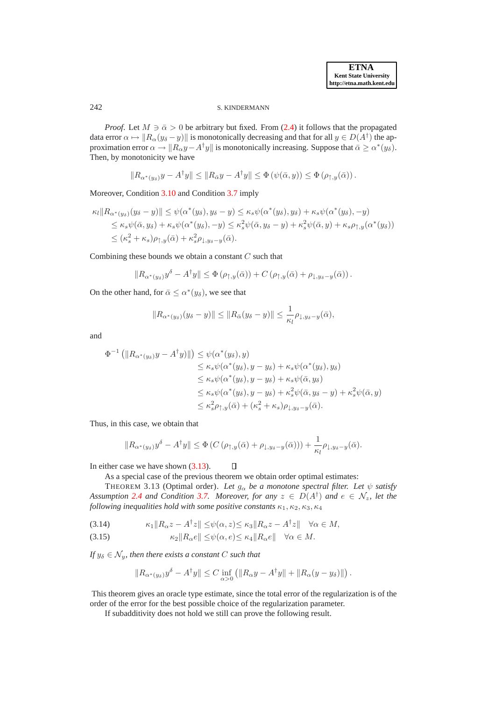## 242 S. KINDERMANN

*Proof.* Let  $M \ni \bar{\alpha} > 0$  be arbitrary but fixed. From [\(2.4\)](#page-2-5) it follows that the propagated data error  $\alpha \mapsto ||R_{\alpha}(y_{\delta} - y)||$  is monotonically decreasing and that for all  $y \in D(A^{\dagger})$  the approximation error  $\alpha \to \|R_\alpha y - A^\dagger y\|$  is monotonically increasing. Suppose that  $\bar{\alpha} \ge \alpha^*(y_\delta)$ . Then, by monotonicity we have

$$
||R_{\alpha^*(y_\delta)}y - A^{\dagger}y|| \leq ||R_{\bar{\alpha}}y - A^{\dagger}y|| \leq \Phi(\psi(\bar{\alpha},y)) \leq \Phi(\rho_{\uparrow,y}(\bar{\alpha})).
$$

Moreover, Condition [3.10](#page-8-0) and Condition [3.7](#page-7-0) imply

$$
\kappa_l \|R_{\alpha^*(y_\delta)}(y_\delta - y)\| \leq \psi(\alpha^*(y_\delta), y_\delta - y) \leq \kappa_s \psi(\alpha^*(y_\delta), y_\delta) + \kappa_s \psi(\alpha^*(y_\delta), -y)
$$
  
\n
$$
\leq \kappa_s \psi(\bar{\alpha}, y_\delta) + \kappa_s \psi(\alpha^*(y_\delta), -y) \leq \kappa_s^2 \psi(\bar{\alpha}, y_\delta - y) + \kappa_s^2 \psi(\bar{\alpha}, y) + \kappa_s \rho_{\uparrow, y}(\alpha^*(y_\delta))
$$
  
\n
$$
\leq (\kappa_s^2 + \kappa_s) \rho_{\uparrow, y}(\bar{\alpha}) + \kappa_s^2 \rho_{\downarrow, y_\delta - y}(\bar{\alpha}).
$$

Combining these bounds we obtain a constant  $C$  such that

$$
||R_{\alpha^*(y_\delta)}y^\delta - A^{\dagger}y|| \leq \Phi(\rho_{\uparrow,y}(\bar{\alpha})) + C(\rho_{\uparrow,y}(\bar{\alpha}) + \rho_{\downarrow,y_\delta-y}(\bar{\alpha})).
$$

On the other hand, for  $\bar{\alpha} \leq \alpha^*(y_\delta)$ , we see that

$$
||R_{\alpha^*(y_\delta)}(y_\delta - y)|| \le ||R_{\bar{\alpha}}(y_\delta - y)|| \le \frac{1}{\kappa_l} \rho_{\downarrow, y_\delta - y}(\bar{\alpha}),
$$

and

$$
\Phi^{-1} \left( \|R_{\alpha^*(y_\delta)} y - A^\dagger y)\| \right) \leq \psi(\alpha^*(y_\delta), y)
$$
  
\n
$$
\leq \kappa_s \psi(\alpha^*(y_\delta), y - y_\delta) + \kappa_s \psi(\alpha^*(y_\delta), y_\delta)
$$
  
\n
$$
\leq \kappa_s \psi(\alpha^*(y_\delta), y - y_\delta) + \kappa_s \psi(\bar{\alpha}, y_\delta)
$$
  
\n
$$
\leq \kappa_s \psi(\alpha^*(y_\delta), y - y_\delta) + \kappa_s^2 \psi(\bar{\alpha}, y_\delta - y) + \kappa_s^2 \psi(\bar{\alpha}, y)
$$
  
\n
$$
\leq \kappa_s^2 \rho_{\uparrow, y}(\bar{\alpha}) + (\kappa_s^2 + \kappa_s) \rho_{\downarrow, y_\delta - y}(\bar{\alpha}).
$$

Thus, in this case, we obtain that

<span id="page-9-1"></span>
$$
||R_{\alpha^*(y_\delta)}y^\delta - A^\dagger y|| \leq \Phi(C(\rho_{\uparrow,y}(\bar{\alpha}) + \rho_{\downarrow,y_\delta-y}(\bar{\alpha}))) + \frac{1}{\kappa_l} \rho_{\downarrow,y_\delta-y}(\bar{\alpha}).
$$

In either case we have shown [\(3.13\)](#page-8-3).

 $\Box$ As a special case of the previous theorem we obtain order optimal estimates:

THEOREM 3.13 (Optimal order). *Let*  $g_{\alpha}$  *be a monotone spectral filter. Let*  $\psi$  *satisfy Assumption* [2.4](#page-4-1) *and Condition* [3.7.](#page-7-0) *Moreover, for any*  $z \in D(A^{\dagger})$  *and*  $e \in \mathcal{N}_z$ , let the *following inequalities hold with some positive constants*  $\kappa_1, \kappa_2, \kappa_3, \kappa_4$ 

$$
(3.14) \qquad \qquad \kappa_1 \| R_\alpha z - A^\dagger z \| \le \psi(\alpha, z) \le \kappa_3 \| R_\alpha z - A^\dagger z \| \quad \forall \alpha \in M,
$$

(3.15) 
$$
\kappa_2 \|R_\alpha e\| \le \psi(\alpha, e) \le \kappa_4 \|R_\alpha e\| \quad \forall \alpha \in M.
$$

*If*  $y_{\delta} \in \mathcal{N}_y$ , then there exists a constant C such that

<span id="page-9-0"></span>
$$
||R_{\alpha^*(y_\delta)}y^\delta - A^{\dagger}y|| \leq C \inf_{\alpha>0} (||R_\alpha y - A^{\dagger}y|| + ||R_\alpha (y - y_\delta)||).
$$

This theorem gives an oracle type estimate, since the total error of the regularization is of the order of the error for the best possible choice of the regularization parameter.

If subadditivity does not hold we still can prove the following result.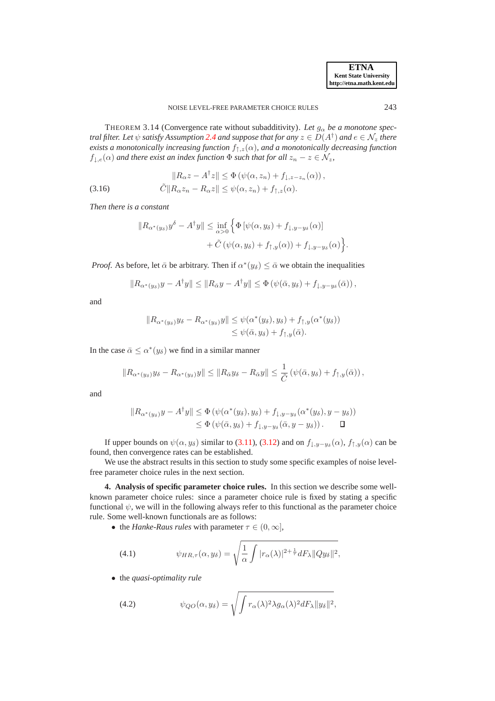.

THEOREM 3.14 (Convergence rate without subadditivity). Let  $g_{\alpha}$  be a monotone spec*tral filter. Let*  $\psi$  *satisfy Assumption [2.4](#page-4-1) and suppose that for any*  $z \in D(A^{\dagger})$  *and*  $e \in \mathcal{N}_z$  *there exists a monotonically increasing function*  $f_{\uparrow,z}(\alpha)$ *, and a monotonically decreasing function*  $f_{\downarrow,e}(\alpha)$  *and there exist an index function*  $\Phi$  *such that for all*  $z_n - z \in \mathcal{N}_z$ *,* 

(3.16) 
$$
||R_{\alpha}z - A^{\dagger}z|| \leq \Phi(\psi(\alpha, z_n) + f_{\downarrow, z-z_n}(\alpha)),
$$

$$
\tilde{C}||R_{\alpha}z_n - R_{\alpha}z|| \leq \psi(\alpha, z_n) + f_{\uparrow, z}(\alpha).
$$

*Then there is a constant*

<span id="page-10-3"></span>
$$
||R_{\alpha^*(y_\delta)}y^\delta - A^\dagger y|| \le \inf_{\alpha > 0} \left\{ \Phi \left[ \psi(\alpha, y_\delta) + f_{\downarrow, y-y_\delta}(\alpha) \right] \right.+ \tilde{C} \left( \psi(\alpha, y_\delta) + f_{\uparrow, y}(\alpha) \right) + f_{\downarrow, y-y_\delta}(\alpha) \right\}
$$

*Proof.* As before, let  $\bar{\alpha}$  be arbitrary. Then if  $\alpha^*(y_\delta) \leq \bar{\alpha}$  we obtain the inequalities

$$
||R_{\alpha^*(y_\delta)}y - A^{\dagger}y|| \le ||R_{\bar{\alpha}}y - A^{\dagger}y|| \le \Phi(\psi(\bar{\alpha}, y_\delta) + f_{\downarrow, y-y_\delta}(\bar{\alpha})),
$$

and

$$
||R_{\alpha^*(y_\delta)}y_\delta - R_{\alpha^*(y_\delta)}y|| \leq \psi(\alpha^*(y_\delta), y_\delta) + f_{\uparrow, y}(\alpha^*(y_\delta))
$$
  

$$
\leq \psi(\bar{\alpha}, y_\delta) + f_{\uparrow, y}(\bar{\alpha}).
$$

In the case  $\bar{\alpha} \leq \alpha^*(y_\delta)$  we find in a similar manner

$$
||R_{\alpha^*(y_\delta)}y_\delta - R_{\alpha^*(y_\delta)}y|| \le ||R_{\bar{\alpha}}y_\delta - R_{\bar{\alpha}}y|| \le \frac{1}{\tilde{C}}\left(\psi(\bar{\alpha},y_\delta) + f_{\uparrow,y}(\bar{\alpha})\right),
$$

and

$$
||R_{\alpha^*(y_\delta)}y - A^{\dagger}y|| \leq \Phi\left(\psi(\alpha^*(y_\delta), y_\delta) + f_{\downarrow, y-y_\delta}(\alpha^*(y_\delta), y - y_\delta)\right)
$$
  

$$
\leq \Phi\left(\psi(\bar{\alpha}, y_\delta) + f_{\downarrow, y-y_\delta}(\bar{\alpha}, y - y_\delta)\right). \qquad \Box
$$

If upper bounds on  $\psi(\alpha, y_\delta)$  similar to [\(3.11\)](#page-8-4), [\(3.12\)](#page-8-4) and on  $f_{\downarrow, y-y_\delta}(\alpha)$ ,  $f_{\uparrow, y}(\alpha)$  can be found, then convergence rates can be established.

We use the abstract results in this section to study some specific examples of noise levelfree parameter choice rules in the next section.

<span id="page-10-0"></span>**4. Analysis of specific parameter choice rules.** In this section we describe some wellknown parameter choice rules: since a parameter choice rule is fixed by stating a specific functional  $\psi$ , we will in the following always refer to this functional as the parameter choice rule. Some well-known functionals are as follows:

• the *Hanke-Raus rules* with parameter  $\tau \in (0, \infty]$ ,

<span id="page-10-2"></span>(4.1) 
$$
\psi_{HR,\tau}(\alpha,y_{\delta}) = \sqrt{\frac{1}{\alpha}\int |r_{\alpha}(\lambda)|^{2+\frac{1}{\tau}}dF_{\lambda}||Qy_{\delta}||^{2}},
$$

• the *quasi-optimality rule*

<span id="page-10-1"></span>(4.2) 
$$
\psi_{QO}(\alpha, y_{\delta}) = \sqrt{\int r_{\alpha}(\lambda)^2 \lambda g_{\alpha}(\lambda)^2 dF_{\lambda} ||y_{\delta}||^2},
$$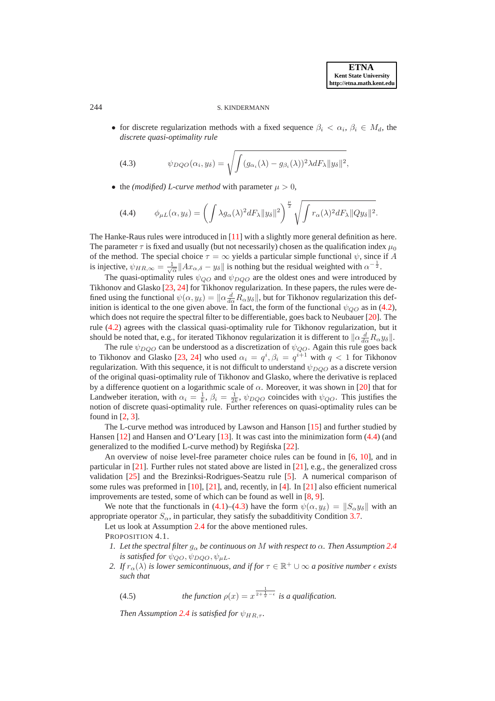## 244 S. KINDERMANN

• for discrete regularization methods with a fixed sequence  $\beta_i < \alpha_i, \beta_i \in M_d$ , the *discrete quasi-optimality rule*

<span id="page-11-1"></span>(4.3) 
$$
\psi_{DQO}(\alpha_i, y_\delta) = \sqrt{\int (g_{\alpha_i}(\lambda) - g_{\beta_i}(\lambda))^2 \lambda dF_\lambda \|y_\delta\|^2},
$$

• the *(modified) L-curve method* with parameter  $\mu > 0$ ,

<span id="page-11-0"></span>(4.4) 
$$
\phi_{\mu L}(\alpha, y_{\delta}) = \left( \int \lambda g_{\alpha}(\lambda)^2 dF_{\lambda} ||y_{\delta}||^2 \right)^{\frac{\mu}{2}} \sqrt{\int r_{\alpha}(\lambda)^2 dF_{\lambda} ||Qy_{\delta}||^2}.
$$

The Hanke-Raus rules were introduced in [\[11\]](#page-24-7) with a slightly more general definition as here. The parameter  $\tau$  is fixed and usually (but not necessarily) chosen as the qualification index  $\mu_0$ of the method. The special choice  $\tau = \infty$  yields a particular simple functional  $\psi$ , since if A is injective,  $\psi_{HR,\infty} = \frac{1}{\sqrt{\alpha}} ||Ax_{\alpha,\delta} - y_{\delta}||$  is nothing but the residual weighted with  $\alpha^{-\frac{1}{2}}$ .

The quasi-optimality rules  $\psi_{QO}$  and  $\psi_{DQO}$  are the oldest ones and were introduced by Tikhonov and Glasko [\[23,](#page-24-8) [24\]](#page-24-9) for Tikhonov regularization. In these papers, the rules were defined using the functional  $\psi(\alpha, y_\delta) = ||\alpha \frac{d}{d\alpha} R_\alpha y_\delta||$ , but for Tikhonov regularization this definition is identical to the one given above. In fact, the form of the functional  $\psi_{OO}$  as in [\(4.2\)](#page-10-1), which does not require the spectral filter to be differentiable, goes back to Neubauer [\[20\]](#page-24-4). The rule [\(4.2\)](#page-10-1) agrees with the classical quasi-optimality rule for Tikhonov regularization, but it should be noted that, e.g., for iterated Tikhonov regularization it is different to  $\|\alpha \frac{d}{d\alpha}R_{\alpha}y_{\delta}\|$ .

The rule  $\psi_{DQO}$  can be understood as a discretization of  $\psi_{QO}$ . Again this rule goes back to Tikhonov and Glasko [\[23,](#page-24-8) [24\]](#page-24-9) who used  $\alpha_i = q^i, \beta_i = q^{i+1}$  with  $q < 1$  for Tikhonov regularization. With this sequence, it is not difficult to understand  $\psi_{DQO}$  as a discrete version of the original quasi-optimality rule of Tikhonov and Glasko, where the derivative is replaced by a difference quotient on a logarithmic scale of  $\alpha$ . Moreover, it was shown in [\[20\]](#page-24-4) that for Landweber iteration, with  $\alpha_i = \frac{1}{k}$ ,  $\beta_i = \frac{1}{2k}$ ,  $\psi_{DQO}$  coincides with  $\psi_{QO}$ . This justifies the notion of discrete quasi-optimality rule. Further references on quasi-optimality rules can be found in [\[2,](#page-24-2) [3\]](#page-24-10).

The L-curve method was introduced by Lawson and Hanson [\[15\]](#page-24-11) and further studied by Hansen [\[12\]](#page-24-12) and Hansen and O'Leary [\[13\]](#page-24-13). It was cast into the minimization form [\(4.4\)](#page-11-0) (and generalized to the modified L-curve method) by Regińska [[22\]](#page-24-14).

An overview of noise level-free parameter choice rules can be found in [\[6,](#page-24-0) [10\]](#page-24-15), and in particular in  $[21]$ . Further rules not stated above are listed in  $[21]$ , e.g., the generalized cross validation [\[25\]](#page-24-17) and the Brezinksi-Rodrigues-Seatzu rule [\[5\]](#page-24-18). A numerical comparison of some rules was preformed in [\[10\]](#page-24-15), [\[21\]](#page-24-16), and, recently, in [\[4\]](#page-24-19). In [\[21\]](#page-24-16) also efficient numerical improvements are tested, some of which can be found as well in [\[8,](#page-24-20) [9\]](#page-24-21).

We note that the functionals in [\(4.1\)](#page-10-2)–[\(4.3\)](#page-11-1) have the form  $\psi(\alpha, y_{\delta}) = ||S_{\alpha}y_{\delta}||$  with an appropriate operator  $S_{\alpha}$ , in particular, they satisfy the subadditivity Condition [3.7.](#page-7-0)

Let us look at Assumption [2.4](#page-4-1) for the above mentioned rules. PROPOSITION 4.1.

- *1. Let the spectral filter*  $g_{\alpha}$  *be continuous on M* with respect to  $\alpha$ *. Then Assumption* [2.4](#page-4-1) *is satisfied for*  $\psi_{QO}, \psi_{DQO}, \psi_{\mu L}$ .
- 2. If  $r_{\alpha}(\lambda)$  *is lower semicontinuous, and if for*  $\tau \in \mathbb{R}^+ \cup \infty$  *a positive number*  $\epsilon$  *exists such that*

<span id="page-11-3"></span><span id="page-11-2"></span>(4.5) *the function* 
$$
\rho(x) = x^{\frac{1}{2 + \frac{1}{\tau} - \epsilon}}
$$
 *is a qualification.*

*Then Assumption* [2.4](#page-4-1) *is satisfied for*  $\psi_{HR}$ ,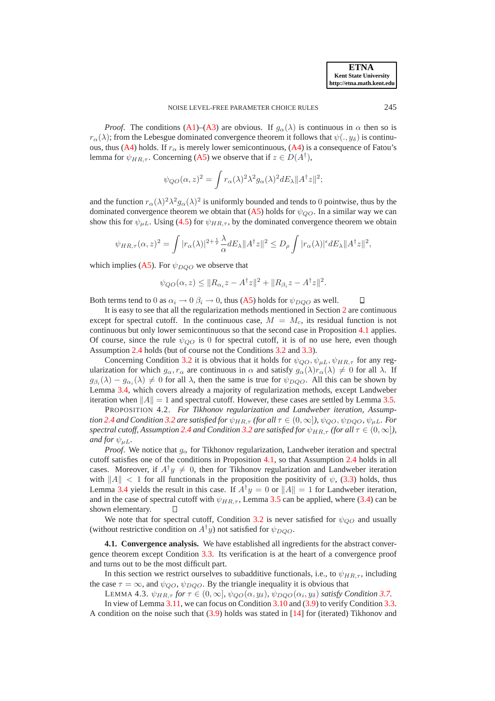*Proof.* The conditions ([A1\)](#page-4-6)–([A3\)](#page-4-3) are obvious. If  $g_\alpha(\lambda)$  is continuous in  $\alpha$  then so is  $r_{\alpha}(\lambda)$ ; from the Lebesgue dominated convergence theorem it follows that  $\psi(.,y_{\delta})$  is continu-ous, thus ([A4\)](#page-4-7) holds. If  $r_{\alpha}$  is merely lower semicontinuous, (A4) is a consequence of Fatou's lemma for  $\psi_{HR,\tau}$ . Concerning ([A5\)](#page-4-4) we observe that if  $z \in D(A^{\dagger})$ ,

$$
\psi_{QO}(\alpha, z)^2 = \int r_{\alpha}(\lambda)^2 \lambda^2 g_{\alpha}(\lambda)^2 dE_{\lambda} ||A^{\dagger} z||^2;
$$

and the function  $r_\alpha(\lambda)^2 \lambda^2 g_\alpha(\lambda)^2$  is uniformly bounded and tends to 0 pointwise, thus by the dominated convergence theorem we obtain that ([A5\)](#page-4-4) holds for  $\psi_{OO}$ . In a similar way we can show this for  $\psi_{\mu L}$ . Using [\(4.5\)](#page-11-2) for  $\psi_{HR,\tau}$ , by the dominated convergence theorem we obtain

$$
\psi_{HR,\tau}(\alpha,z)^2 = \int |r_\alpha(\lambda)|^{2+\frac{1}{\tau}} \frac{\lambda}{\alpha} dE_\lambda \|A^\dagger z\|^2 \le D_\rho \int |r_\alpha(\lambda)|^{\epsilon} dE_\lambda \|A^\dagger z\|^2,
$$

which implies ([A5\)](#page-4-4). For  $\psi_{DQO}$  we observe that

$$
\psi_{QO}(\alpha, z) \leq ||R_{\alpha_i}z - A^{\dagger}z||^2 + ||R_{\beta_i}z - A^{\dagger}z||^2.
$$

Both terms tend to 0 as  $\alpha_i \rightarrow 0$   $\beta_i \rightarrow 0$ , thus ([A5\)](#page-4-4) holds for  $\psi_{DQO}$  as well. П

It is easy to see that all the regularization methods mentioned in Section [2](#page-1-0) are continuous except for spectral cutoff. In the continuous case,  $M = M_c$ , its residual function is not continuous but only lower semicontinuous so that the second case in Proposition [4.1](#page-11-3) applies. Of course, since the rule  $\psi_{OO}$  is 0 for spectral cutoff, it is of no use here, even though Assumption [2.4](#page-4-1) holds (but of course not the Conditions [3.2](#page-5-1) and [3.3\)](#page-5-3).

Concerning Condition [3.2](#page-5-1) it is obvious that it holds for  $\psi_{QO}, \psi_{\mu L}, \psi_{HR,\tau}$  for any regularization for which  $g_{\alpha}, r_{\alpha}$  are continuous in  $\alpha$  and satisfy  $g_{\alpha}(\lambda)r_{\alpha}(\lambda) \neq 0$  for all  $\lambda$ . If  $g_{\beta_i}(\lambda) - g_{\alpha_i}(\lambda) \neq 0$  for all  $\lambda$ , then the same is true for  $\psi_{DQO}$ . All this can be shown by Lemma [3.4,](#page-6-2) which covers already a majority of regularization methods, except Landweber iteration when  $||A|| = 1$  and spectral cutoff. However, these cases are settled by Lemma [3.5.](#page-6-6)

<span id="page-12-1"></span>PROPOSITION 4.2. *For Tikhonov regularization and Landweber iteration, Assumption* [2.4](#page-4-1) *and Condition* [3.2](#page-5-1) *are satisfied for*  $\psi_{HR,\tau}$  *(for all*  $\tau \in (0,\infty]$ *),*  $\psi_{OO}, \psi_{DOO}, \psi_{\mu L}$ *. For spectral cutoff, Assumption* [2.4](#page-4-1) *and Condition* [3.2](#page-5-1) *are satisfied for*  $\psi_{HR,\tau}$  *(for all*  $\tau \in (0,\infty]$ *), and for*  $\psi_{\mu L}$ *.* 

*Proof.* We notice that  $g_\alpha$  for Tikhonov regularization, Landweber iteration and spectral cutoff satisfies one of the conditions in Proposition [4.1,](#page-11-3) so that Assumption [2.4](#page-4-1) holds in all cases. Moreover, if  $A^{\dagger}y \neq 0$ , then for Tikhonov regularization and Landweber iteration with  $\|A\| < 1$  for all functionals in the proposition the positivity of  $\psi$ , [\(3.3\)](#page-6-1) holds, thus Lemma [3.4](#page-6-2) yields the result in this case. If  $A^{\dagger}y = 0$  or  $||A|| = 1$  for Landweber iteration, and in the case of spectral cutoff with  $\psi_{HR,\tau}$ , Lemma [3.5](#page-6-6) can be applied, where [\(3.4\)](#page-6-3) can be shown elementary. Л

We note that for spectral cutoff, Condition [3.2](#page-5-1) is never satisfied for  $\psi_{OO}$  and usually (without restrictive condition on  $A^{\dagger}y$ ) not satisfied for  $\psi_{DQO}$ .

<span id="page-12-0"></span>**4.1. Convergence analysis.** We have established all ingredients for the abstract convergence theorem except Condition [3.3.](#page-5-3) Its verification is at the heart of a convergence proof and turns out to be the most difficult part.

In this section we restrict ourselves to subadditive functionals, i.e., to  $\psi_{HR,\tau}$ , including the case  $\tau = \infty$ , and  $\psi_{QO}$ ,  $\psi_{DQO}$ . By the triangle inequality it is obvious that

LEMMA 4.3.  $\psi_{HR,\tau}$  *for*  $\tau \in (0,\infty]$ *,*  $\psi_{QO}(\alpha, y_{\delta})$ *,*  $\psi_{DQO}(\alpha_i, y_{\delta})$  *satisfy Condition [3.7.](#page-7-0)* 

In view of Lemma [3.11,](#page-8-5) we can focus on Condition [3.10](#page-8-0) and [\(3.9\)](#page-8-1) to verify Condition [3.3.](#page-5-3) A condition on the noise such that [\(3.9\)](#page-8-1) holds was stated in [\[14\]](#page-24-3) for (iterated) Tikhonov and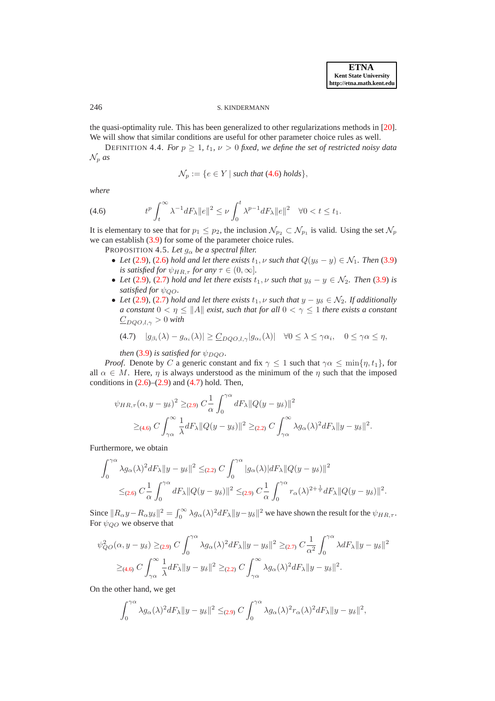## 246 S. KINDERMANN

the quasi-optimality rule. This has been generalized to other regularizations methods in [\[20\]](#page-24-4). We will show that similar conditions are useful for other parameter choice rules as well.

DEFINITION 4.4. *For*  $p \geq 1$ ,  $t_1$ ,  $\nu > 0$  *fixed, we define the set of restricted noisy data*  $\mathcal{N}_p$  *as* 

<span id="page-13-2"></span>
$$
\mathcal{N}_p := \{ e \in Y \mid \text{such that } (4.6) \text{ holds} \},
$$

<span id="page-13-0"></span>*where*

$$
(4.6) \t tp \int_t^{\infty} \lambda^{-1} dF_{\lambda} ||e||^2 \leq \nu \int_0^t \lambda^{p-1} dF_{\lambda} ||e||^2 \quad \forall 0 < t \leq t_1.
$$

It is elementary to see that for  $p_1 \leq p_2$ , the inclusion  $\mathcal{N}_{p_2} \subset \mathcal{N}_{p_1}$  is valid. Using the set  $\mathcal{N}_p$ we can establish [\(3.9\)](#page-8-1) for some of the parameter choice rules.

PROPOSITION 4.5. Let  $g_{\alpha}$  be a spectral filter.

- Let [\(2.9\)](#page-2-2), [\(2.6\)](#page-2-1) *hold and let there exists*  $t_1$ ,  $\nu$  *such that*  $Q(y_\delta y) \in \mathcal{N}_1$ *. Then* [\(3.9\)](#page-8-1) *is satisfied for*  $\psi_{HR,\tau}$  *for any*  $\tau \in (0,\infty]$ *.*
- Let [\(2.9\)](#page-2-2), [\(2.7\)](#page-2-4) hold and let there exists  $t_1$ ,  $\nu$  such that  $y_\delta y \in \mathcal{N}_2$ . Then [\(3.9\)](#page-8-1) is *satisfied for*  $\psi_{OO}$ *.*
- *Let* [\(2.9\)](#page-2-2), [\(2.7\)](#page-2-4) *hold and let there exists*  $t_1$ ,  $\nu$  *such that*  $y y_\delta \in \mathcal{N}_2$ *. If additionally a constant*  $0 < \eta \le ||A||$  *exist, such that for all*  $0 < \gamma \le 1$  *there exists a constant*  $\underline{C}_{DOO,l,\gamma} > 0$  with

<span id="page-13-1"></span>
$$
(4.7) \quad |g_{\beta_i}(\lambda) - g_{\alpha_i}(\lambda)| \geq \underline{C}_{DQO,l,\gamma} |g_{\alpha_i}(\lambda)| \quad \forall 0 \leq \lambda \leq \gamma \alpha_i, \quad 0 \leq \gamma \alpha \leq \eta,
$$

*then* [\(3.9\)](#page-8-1) *is satisfied for*  $\psi_{DQO}$ *.* 

*Proof.* Denote by C a generic constant and fix  $\gamma \leq 1$  such that  $\gamma \alpha \leq \min\{\eta, t_1\}$ , for all  $\alpha \in M$ . Here,  $\eta$  is always understood as the minimum of the  $\eta$  such that the imposed conditions in  $(2.6)$ – $(2.9)$  and  $(4.7)$  hold. Then,

$$
\psi_{HR,\tau}(\alpha, y - y_\delta)^2 \geq_{(2.9)} C \frac{1}{\alpha} \int_0^{\gamma \alpha} dF_\lambda \|Q(y - y_\delta)\|^2
$$
  
 
$$
\geq_{(4.6)} C \int_{\gamma \alpha}^{\infty} \frac{1}{\lambda} dF_\lambda \|Q(y - y_\delta)\|^2 \geq_{(2.2)} C \int_{\gamma \alpha}^{\infty} \lambda g_\alpha(\lambda)^2 dF_\lambda \|y - y_\delta\|^2.
$$

Furthermore, we obtain

$$
\int_0^{\gamma\alpha} \lambda g_\alpha(\lambda)^2 dF_\lambda \|y - y_\delta\|^2 \leq (2.2) C \int_0^{\gamma\alpha} |g_\alpha(\lambda)| dF_\lambda \|Q(y - y_\delta)\|^2
$$
  

$$
\leq (2.6) C \frac{1}{\alpha} \int_0^{\gamma\alpha} dF_\lambda \|Q(y - y_\delta)\|^2 \leq (2.9) C \frac{1}{\alpha} \int_0^{\gamma\alpha} r_\alpha(\lambda)^{2 + \frac{1}{\tau}} dF_\lambda \|Q(y - y_\delta)\|^2.
$$

Since  $||R_{\alpha}y - R_{\alpha}y_{\delta}||^2 = \int_0^{\infty} \lambda g_{\alpha}(\lambda)^2 dF_{\lambda} ||y - y_{\delta}||^2$  we have shown the result for the  $\psi_{HR,\tau}$ . For  $\psi_{OO}$  we observe that

$$
\psi_{QO}^2(\alpha, y - y_\delta) \geq_{(2.9)} C \int_0^{\gamma \alpha} \lambda g_\alpha(\lambda)^2 dF_\lambda \|y - y_\delta\|^2 \geq_{(2.7)} C \frac{1}{\alpha^2} \int_0^{\gamma \alpha} \lambda dF_\lambda \|y - y_\delta\|^2
$$
  

$$
\geq_{(4.6)} C \int_{\gamma \alpha}^{\infty} \frac{1}{\lambda} dF_\lambda \|y - y_\delta\|^2 \geq_{(2.2)} C \int_{\gamma \alpha}^{\infty} \lambda g_\alpha(\lambda)^2 dF_\lambda \|y - y_\delta\|^2.
$$

On the other hand, we get

$$
\int_0^{\gamma\alpha} \lambda g_{\alpha}(\lambda)^2 dF_{\lambda} \|y - y_{\delta}\|^2 \leq (2.9) C \int_0^{\gamma\alpha} \lambda g_{\alpha}(\lambda)^2 r_{\alpha}(\lambda)^2 dF_{\lambda} \|y - y_{\delta}\|^2,
$$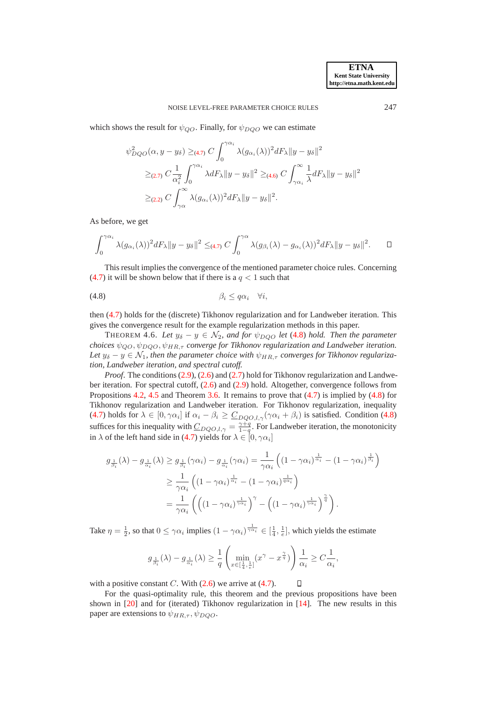which shows the result for  $\psi_{OO}$ . Finally, for  $\psi_{DOO}$  we can estimate

$$
\psi_{DQO}^2(\alpha, y - y_\delta) \geq_{(4.7)} C \int_0^{\gamma \alpha_i} \lambda(g_{\alpha_i}(\lambda))^2 dF_\lambda \|y - y_\delta\|^2
$$
  

$$
\geq_{(2.7)} C \frac{1}{\alpha_i^2} \int_0^{\gamma \alpha_i} \lambda dF_\lambda \|y - y_\delta\|^2 \geq_{(4.6)} C \int_{\gamma \alpha_i}^\infty \frac{1}{\lambda} dF_\lambda \|y - y_\delta\|^2
$$
  

$$
\geq_{(2.2)} C \int_{\gamma \alpha}^\infty \lambda(g_{\alpha_i}(\lambda))^2 dF_\lambda \|y - y_\delta\|^2.
$$

As before, we get

<span id="page-14-0"></span>
$$
\int_0^{\gamma \alpha_i} \lambda(g_{\alpha_i}(\lambda))^2 dF_\lambda \|y - y_\delta\|^2 \leq_{(4.7)} C \int_0^{\gamma \alpha} \lambda(g_{\beta_i}(\lambda) - g_{\alpha_i}(\lambda))^2 dF_\lambda \|y - y_\delta\|^2.
$$

This result implies the convergence of the mentioned parameter choice rules. Concerning [\(4.7\)](#page-13-1) it will be shown below that if there is a  $q < 1$  such that

$$
\beta_i \le q\alpha_i \quad \forall i,
$$

then [\(4.7\)](#page-13-1) holds for the (discrete) Tikhonov regularization and for Landweber iteration. This gives the convergence result for the example regularization methods in this paper.

THEOREM 4.6. Let  $y_{\delta} - y \in \mathcal{N}_2$ , and for  $\psi_{DQO}$  let [\(4.8\)](#page-14-0) hold. Then the parameter *choices*  $\psi_{OO}, \psi_{DOO}, \psi_{HR,\tau}$  *converge for Tikhonov regularization and Landweber iteration.* Let  $y_{\delta} - y \in \mathcal{N}_1$ , then the parameter choice with  $\psi_{HR,\tau}$  converges for Tikhonov regulariza*tion, Landweber iteration, and spectral cutoff.*

*Proof.* The conditions [\(2.9\)](#page-2-2), [\(2.6\)](#page-2-1) and [\(2.7\)](#page-2-4) hold for Tikhonov regularization and Landweber iteration. For spectral cutoff, [\(2.6\)](#page-2-1) and [\(2.9\)](#page-2-2) hold. Altogether, convergence follows from Propositions [4.2,](#page-12-1) [4.5](#page-13-2) and Theorem [3.6.](#page-6-0) It remains to prove that [\(4.7\)](#page-13-1) is implied by [\(4.8\)](#page-14-0) for Tikhonov regularization and Landweber iteration. For Tikhonov regularization, inequality [\(4.7\)](#page-13-1) holds for  $\lambda \in [0, \gamma \alpha_i]$  if  $\alpha_i - \beta_i \geq \underline{C}_{DQO,l,\gamma}(\gamma \alpha_i + \beta_i)$  is satisfied. Condition [\(4.8\)](#page-14-0) suffices for this inequality with  $C_{DQO,l,\gamma} = \frac{\gamma+q}{1-q}$ . For Landweber iteration, the monotonicity in  $\lambda$  of the left hand side in [\(4.7\)](#page-13-1) yields for  $\lambda \in [0, \gamma \alpha_i]$ 

$$
g_{\frac{1}{\beta_i}}(\lambda) - g_{\frac{1}{\alpha_i}}(\lambda) \ge g_{\frac{1}{\beta_i}}(\gamma \alpha_i) - g_{\frac{1}{\alpha_i}}(\gamma \alpha_i) = \frac{1}{\gamma \alpha_i} \left( (1 - \gamma \alpha_i)^{\frac{1}{\alpha_i}} - (1 - \gamma \alpha_i)^{\frac{1}{\beta_i}} \right)
$$
  

$$
\ge \frac{1}{\gamma \alpha_i} \left( (1 - \gamma \alpha_i)^{\frac{1}{\alpha_i}} - (1 - \gamma \alpha_i)^{\frac{1}{q \alpha_i}} \right)
$$
  

$$
= \frac{1}{\gamma \alpha_i} \left( \left( (1 - \gamma \alpha_i)^{\frac{1}{\gamma \alpha_i}} \right)^{\gamma} - \left( (1 - \gamma \alpha_i)^{\frac{1}{\gamma \alpha_i}} \right)^{\frac{\gamma}{q}} \right).
$$

Take  $\eta = \frac{1}{2}$ , so that  $0 \le \gamma \alpha_i$  implies  $(1 - \gamma \alpha_i)^\frac{1}{\gamma \alpha_i} \in [\frac{1}{4}, \frac{1}{e}]$ , which yields the estimate

$$
g_{\frac{1}{\beta_i}}(\lambda) - g_{\frac{1}{\alpha_i}}(\lambda) \ge \frac{1}{q} \left( \min_{x \in [\frac{1}{4}, \frac{1}{e}]} (x^{\gamma} - x^{\frac{\gamma}{q}}) \right) \frac{1}{\alpha_i} \ge C \frac{1}{\alpha_i},
$$

with a positive constant C. With  $(2.6)$  we arrive at  $(4.7)$ .

For the quasi-optimality rule, this theorem and the previous propositions have been shown in [\[20\]](#page-24-4) and for (iterated) Tikhonov regularization in [\[14\]](#page-24-3). The new results in this paper are extensions to  $\psi_{HR,\tau}, \psi_{DQO}$ .

<span id="page-14-1"></span> $\Box$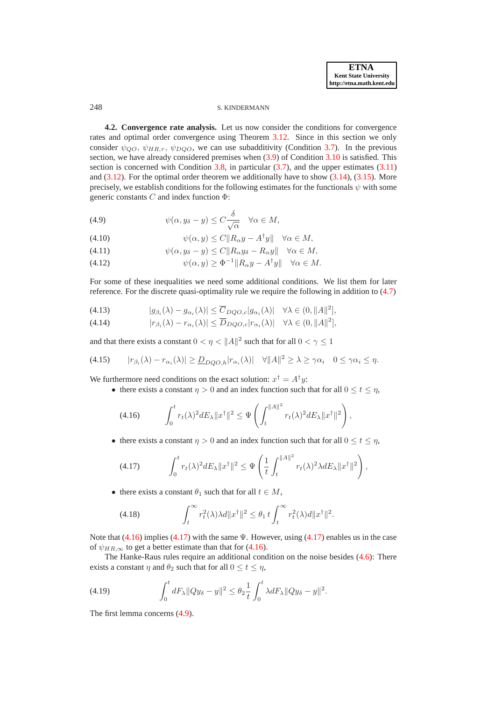#### 248 S. KINDERMANN

**4.2. Convergence rate analysis.** Let us now consider the conditions for convergence rates and optimal order convergence using Theorem [3.12.](#page-8-6) Since in this section we only consider  $\psi_{QO}$ ,  $\psi_{HR,\tau}$ ,  $\psi_{DQO}$ , we can use subadditivity (Condition [3.7\)](#page-7-0). In the previous section, we have already considered premises when [\(3.9\)](#page-8-1) of Condition [3.10](#page-8-0) is satisfied. This section is concerned with Condition [3.8,](#page-7-1) in particular  $(3.7)$ , and the upper estimates  $(3.11)$ and  $(3.12)$ . For the optimal order theorem we additionally have to show  $(3.14)$ ,  $(3.15)$ . More precisely, we establish conditions for the following estimates for the functionals  $\psi$  with some generic constants  $C$  and index function  $\Phi$ :

<span id="page-15-2"></span>(4.9) 
$$
\psi(\alpha, y_{\delta} - y) \leq C \frac{\delta}{\sqrt{\alpha}} \quad \forall \alpha \in M,
$$

(4.10) 
$$
\psi(\alpha, y) \le C \|R_{\alpha}y - A^{\dagger}y\| \quad \forall \alpha \in M,
$$

(4.11) 
$$
\psi(\alpha, y_{\delta} - y) \le C \|R_{\alpha} y_{\delta} - R_{\alpha} y\| \quad \forall \alpha \in M,
$$

(4.12)  $\psi(\alpha, y) \ge \Phi^{-1} \| R_{\alpha} y - A^{\dagger} y \| \quad \forall \alpha \in M.$ 

For some of these inequalities we need some additional conditions. We list them for later reference. For the discrete quasi-optimality rule we require the following in addition to [\(4.7\)](#page-13-1)

- <span id="page-15-3"></span>(4.13)  $|g_{\beta_i}(\lambda) - g_{\alpha_i}(\lambda)| \leq \overline{C}_{DQO,c} |g_{\alpha_i}(\lambda)| \quad \forall \lambda \in (0, \|A\|^2],$
- (4.14)  $|r_{\beta_i}(\lambda) r_{\alpha_i}(\lambda)| \le \overline{D}_{DQO,c}|r_{\alpha_i}(\lambda)| \quad \forall \lambda \in (0, \|A\|^2],$

and that there exists a constant  $0 < \eta < ||A||^2$  such that for all  $0 < \gamma \le 1$ 

$$
(4.15) \qquad |r_{\beta_i}(\lambda) - r_{\alpha_i}(\lambda)| \geq \underline{D}_{DQO,h} |r_{\alpha_i}(\lambda)| \quad \forall \|A\|^2 \geq \lambda \geq \gamma \alpha_i \quad 0 \leq \gamma \alpha_i \leq \eta.
$$

We furthermore need conditions on the exact solution:  $x^{\dagger} = A^{\dagger}y$ :

• there exists a constant  $\eta > 0$  and an index function such that for all  $0 \le t \le \eta$ ,

<span id="page-15-6"></span><span id="page-15-0"></span>
$$
(4.16)\qquad \int_0^t r_t(\lambda)^2 dE_\lambda \|x^\dagger\|^2 \leq \Psi\left(\int_t^{\|A\|^2} r_t(\lambda)^2 dE_\lambda \|x^\dagger\|^2\right),
$$

• there exists a constant  $\eta > 0$  and an index function such that for all  $0 \le t \le \eta$ ,

<span id="page-15-1"></span>
$$
(4.17) \qquad \int_0^t r_t(\lambda)^2 dE_\lambda \|x^\dagger\|^2 \le \Psi\left(\frac{1}{t} \int_t^{\|A\|^2} r_t(\lambda)^2 \lambda dE_\lambda \|x^\dagger\|^2\right),
$$

• there exists a constant  $\theta_1$  such that for all  $t \in M$ ,

<span id="page-15-5"></span><span id="page-15-4"></span>(4.18) 
$$
\int_t^{\infty} r_t^2(\lambda) \lambda d\|x^{\dagger}\|^2 \leq \theta_1 t \int_t^{\infty} r_t^2(\lambda) d\|x^{\dagger}\|^2.
$$

Note that  $(4.16)$  implies  $(4.17)$  with the same  $\Psi$ . However, using  $(4.17)$  enables us in the case of  $\psi_{HR,\infty}$  to get a better estimate than that for [\(4.16\)](#page-15-0).

The Hanke-Raus rules require an additional condition on the noise besides [\(4.6\)](#page-13-0): There exists a constant  $\eta$  and  $\theta_2$  such that for all  $0 \le t \le \eta$ ,

(4.19) 
$$
\int_0^t dF_\lambda \|Qy_\delta - y\|^2 \le \theta_2 \frac{1}{t} \int_0^t \lambda dF_\lambda \|Qy_\delta - y\|^2.
$$

The first lemma concerns [\(4.9\)](#page-15-2).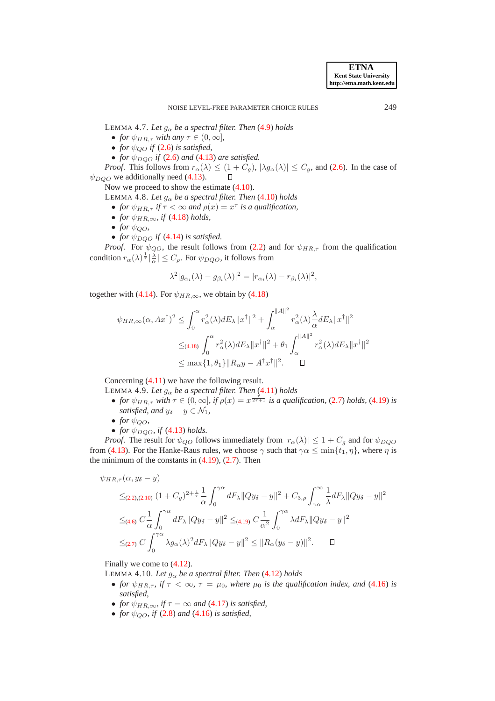<span id="page-16-0"></span>LEMMA 4.7. Let  $g_{\alpha}$  be a spectral filter. Then [\(4.9\)](#page-15-2) holds

- *for*  $\psi_{HR,\tau}$  *with any*  $\tau \in (0,\infty]$ ,
- *for*  $\psi_{QO}$  *if* [\(2.6\)](#page-2-1) *is satisfied*,
- *for*  $\psi_{DQO}$  *if* [\(2.6\)](#page-2-1) *and* [\(4.13\)](#page-15-3) *are satisfied.*

*Proof.* This follows from  $r_{\alpha}(\lambda) \leq (1 + C_g)$ ,  $|\lambda g_{\alpha}(\lambda)| \leq C_g$ , and [\(2.6\)](#page-2-1). In the case of  $\alpha$  we additionally need (4.13).  $\psi_{DQO}$  we additionally need [\(4.13\)](#page-15-3).

Now we proceed to show the estimate [\(4.10\)](#page-15-2).

LEMMA 4.8. Let  $g_{\alpha}$  be a spectral filter. Then  $(4.10)$  holds

- *for*  $\psi_{HR,\tau}$  *if*  $\tau < \infty$  *and*  $\rho(x) = x^{\tau}$  *is a qualification,*
- *for*  $\psi_{HR,\infty}$ *, if* [\(4.18\)](#page-15-4) *holds*,
- *for*  $\psi_{QO}$ *,*
- *for*  $\psi_{DQO}$  *if* [\(4.14\)](#page-15-3) *is satisfied.*

*Proof.* For  $\psi_{QO}$ , the result follows from [\(2.2\)](#page-1-2) and for  $\psi_{HR,\tau}$  from the qualification condition  $r_{\alpha}(\lambda)^{\frac{1}{\tau}} \left| \frac{\lambda}{\alpha} \right| \leq C_{\rho}$ . For  $\psi_{DQO}$ , it follows from

<span id="page-16-3"></span><span id="page-16-1"></span>
$$
\lambda^2 |g_{\alpha_i}(\lambda) - g_{\beta_i}(\lambda)|^2 = |r_{\alpha_i}(\lambda) - r_{\beta_i}(\lambda)|^2,
$$

together with [\(4.14\)](#page-15-3). For  $\psi_{HR,\infty}$ , we obtain by [\(4.18\)](#page-15-4)

$$
\psi_{HR,\infty}(\alpha, Ax^{\dagger})^2 \leq \int_0^{\alpha} r_{\alpha}^2(\lambda) dE_{\lambda} ||x^{\dagger}||^2 + \int_{\alpha}^{||A||^2} r_{\alpha}^2(\lambda) \frac{\lambda}{\alpha} dE_{\lambda} ||x^{\dagger}||^2
$$
  

$$
\leq_{(4.18)} \int_0^{\alpha} r_{\alpha}^2(\lambda) dE_{\lambda} ||x^{\dagger}||^2 + \theta_1 \int_{\alpha}^{||A||^2} r_{\alpha}^2(\lambda) dE_{\lambda} ||x^{\dagger}||^2
$$
  

$$
\leq \max\{1, \theta_1\} ||R_{\alpha}y - A^{\dagger}x^{\dagger}||^2. \quad \Box
$$

Concerning [\(4.11\)](#page-15-2) we have the following result.

- LEMMA 4.9. *Let*  $g_{\alpha}$  *be a spectral filter. Then* [\(4.11\)](#page-15-2) *holds* 
	- *for*  $\psi_{HR,\tau}$  *with*  $\tau \in (0,\infty]$ *, if*  $\rho(x) = x^{\frac{\tau}{2\tau+1}}$  *is a qualification,* [\(2.7\)](#page-2-4) *holds,* [\(4.19\)](#page-15-5) *is satisfied, and*  $y_{\delta} - y \in \mathcal{N}_1$ ,
	- *for*  $\psi_{OO}$ ,
	- *for*  $\psi_{DQO}$ *, if* [\(4.13\)](#page-15-3) *holds.*

*Proof.* The result for  $\psi_{QO}$  follows immediately from  $|r_{\alpha}(\lambda)| \leq 1 + C_g$  and for  $\psi_{DQO}$ from [\(4.13\)](#page-15-3). For the Hanke-Raus rules, we choose  $\gamma$  such that  $\gamma \alpha \le \min\{t_1, \eta\}$ , where  $\eta$  is the minimum of the constants in  $(4.19)$ ,  $(2.7)$ . Then

$$
\psi_{HR,\tau}(\alpha,y_\delta-y)
$$

$$
\leq_{(2,2),(2,10)} (1+C_g)^{2+\frac{1}{\tau}} \frac{1}{\alpha} \int_0^{\gamma \alpha} dF_\lambda \|Qy_\delta - y\|^2 + C_{3,\rho} \int_{\gamma \alpha}^\infty \frac{1}{\lambda} dF_\lambda \|Qy_\delta - y\|^2
$$
  

$$
\leq_{(4,6)} C \frac{1}{\alpha} \int_0^{\gamma \alpha} dF_\lambda \|Qy_\delta - y\|^2 \leq_{(4,19)} C \frac{1}{\alpha^2} \int_0^{\gamma \alpha} \lambda dF_\lambda \|Qy_\delta - y\|^2
$$
  

$$
\leq_{(2,7)} C \int_0^{\gamma \alpha} \lambda g_\alpha(\lambda)^2 dF_\lambda \|Qy_\delta - y\|^2 \leq \|R_\alpha(y_\delta - y)\|^2. \quad \Box
$$

Finally we come to [\(4.12\)](#page-15-2).

LEMMA 4.10. Let  $g_{\alpha}$  be a spectral filter. Then [\(4.12\)](#page-15-2) holds

- <span id="page-16-2"></span>• *for*  $\psi_{HR,\tau}$ , if  $\tau < \infty$ ,  $\tau = \mu_0$ , where  $\mu_0$  is the qualification index, and [\(4.16\)](#page-15-0) is *satisfied,*
- *for*  $\psi_{HR,\infty}$ *, if*  $\tau = \infty$  *and* [\(4.17\)](#page-15-1) *is satisfied,*
- *for*  $\psi_{OO}$ *, if* [\(2.8\)](#page-2-3) *and* [\(4.16\)](#page-15-0) *is satisfied*,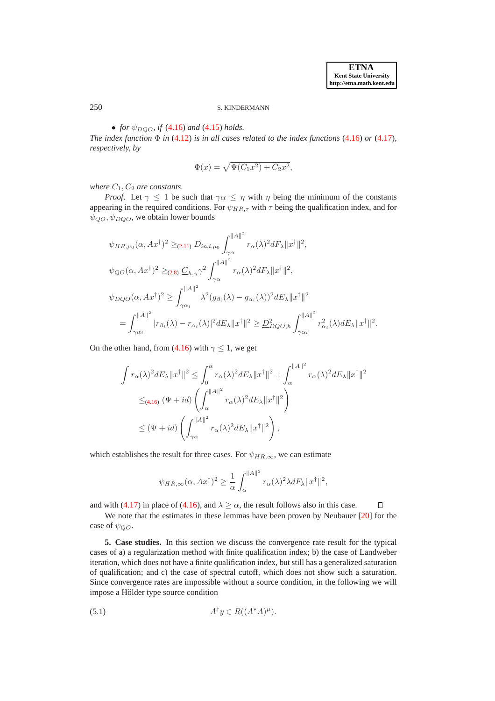$\Box$ 

# 250 S. KINDERMANN

## • *for*  $\psi_{DOO}$ *, if* [\(4.16\)](#page-15-0) *and* [\(4.15\)](#page-15-6) *holds.*

*The index function*  $\Phi$  *in* [\(4.12\)](#page-15-2) *is in all cases related to the index functions* [\(4.16\)](#page-15-0) *or* [\(4.17\)](#page-15-1)*, respectively, by*

$$
\Phi(x) = \sqrt{\Psi(C_1 x^2) + C_2 x^2},
$$

*where*  $C_1$ ,  $C_2$  *are constants.* 

*Proof.* Let  $\gamma \leq 1$  be such that  $\gamma \alpha \leq \eta$  with  $\eta$  being the minimum of the constants appearing in the required conditions. For  $\psi_{HR,\tau}$  with  $\tau$  being the qualification index, and for  $\psi_{QO}, \psi_{DQO}$ , we obtain lower bounds

$$
\psi_{HR,\mu_{0}}(\alpha, Ax^{\dagger})^{2} \geq_{(2.11)} D_{ind,\mu_{0}} \int_{\gamma\alpha}^{||A||^{2}} r_{\alpha}(\lambda)^{2} dF_{\lambda} ||x^{\dagger}||^{2},
$$
  
\n
$$
\psi_{QO}(\alpha, Ax^{\dagger})^{2} \geq_{(2.8)} C_{h,\gamma} \gamma^{2} \int_{\gamma\alpha}^{||A||^{2}} r_{\alpha}(\lambda)^{2} dF_{\lambda} ||x^{\dagger}||^{2},
$$
  
\n
$$
\psi_{DQO}(\alpha, Ax^{\dagger})^{2} \geq \int_{\gamma\alpha_{i}}^{||A||^{2}} \lambda^{2} (g_{\beta_{i}}(\lambda) - g_{\alpha_{i}}(\lambda))^{2} dE_{\lambda} ||x^{\dagger}||^{2}
$$
  
\n
$$
= \int_{\gamma\alpha_{i}}^{||A||^{2}} |r_{\beta_{i}}(\lambda) - r_{\alpha_{i}}(\lambda)|^{2} dE_{\lambda} ||x^{\dagger}||^{2} \geq \underline{D}_{DQO,h}^{2} \int_{\gamma\alpha_{i}}^{||A||^{2}} r_{\alpha_{i}}^{2}(\lambda) dE_{\lambda} ||x^{\dagger}||^{2}.
$$

On the other hand, from [\(4.16\)](#page-15-0) with  $\gamma \leq 1$ , we get

$$
\int r_{\alpha}(\lambda)^{2} dE_{\lambda} \|x^{\dagger}\|^{2} \leq \int_{0}^{\alpha} r_{\alpha}(\lambda)^{2} dE_{\lambda} \|x^{\dagger}\|^{2} + \int_{\alpha}^{||A||^{2}} r_{\alpha}(\lambda)^{2} dE_{\lambda} \|x^{\dagger}\|^{2}
$$
  

$$
\leq_{(4.16)} (\Psi + id) \left( \int_{\alpha}^{||A||^{2}} r_{\alpha}(\lambda)^{2} dE_{\lambda} \|x^{\dagger}\|^{2} \right)
$$
  

$$
\leq (\Psi + id) \left( \int_{\gamma\alpha}^{||A||^{2}} r_{\alpha}(\lambda)^{2} dE_{\lambda} \|x^{\dagger}\|^{2} \right),
$$

which establishes the result for three cases. For  $\psi_{HR,\infty}$ , we can estimate

$$
\psi_{HR,\infty}(\alpha, Ax^{\dagger})^2 \ge \frac{1}{\alpha} \int_{\alpha}^{\|A\|^2} r_{\alpha}(\lambda)^2 \lambda dF_{\lambda} \|x^{\dagger}\|^2,
$$

and with [\(4.17\)](#page-15-1) in place of [\(4.16\)](#page-15-0), and  $\lambda \geq \alpha$ , the result follows also in this case.

We note that the estimates in these lemmas have been proven by Neubauer [\[20\]](#page-24-4) for the case of  $\psi_{QO}$ .

<span id="page-17-0"></span>**5. Case studies.** In this section we discuss the convergence rate result for the typical cases of a) a regularization method with finite qualification index; b) the case of Landweber iteration, which does not have a finite qualification index, but still has a generalized saturation of qualification; and c) the case of spectral cutoff, which does not show such a saturation. Since convergence rates are impossible without a source condition, in the following we will impose a Hölder type source condition

<span id="page-17-1"></span>(5.1) 
$$
A^{\dagger} y \in R((A^*A)^{\mu}).
$$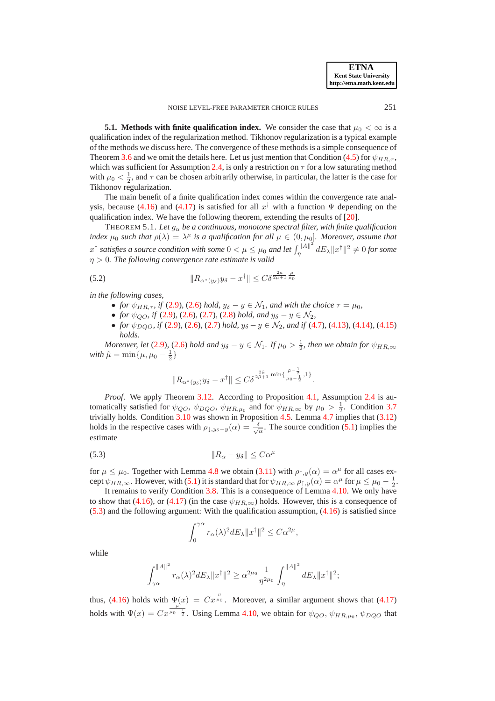**5.1. Methods with finite qualification index.** We consider the case that  $\mu_0 < \infty$  is a qualification index of the regularization method. Tikhonov regularization is a typical example of the methods we discuss here. The convergence of these methods is a simple consequence of Theorem [3.6](#page-6-0) and we omit the details here. Let us just mention that Condition [\(4.5\)](#page-11-2) for  $\psi_{HR,\tau}$ , which was sufficient for Assumption [2.4,](#page-4-1) is only a restriction on  $\tau$  for a low saturating method with  $\mu_0 < \frac{1}{2}$ , and  $\tau$  can be chosen arbitrarily otherwise, in particular, the latter is the case for Tikhonov regularization.

The main benefit of a finite qualification index comes within the convergence rate anal-ysis, because [\(4.16\)](#page-15-0) and [\(4.17\)](#page-15-1) is satisfied for all  $x^{\dagger}$  with a function  $\Psi$  depending on the qualification index. We have the following theorem, extending the results of [\[20\]](#page-24-4).

THEOREM 5.1. Let  $g_{\alpha}$  be a continuous, monotone spectral filter, with finite qualification *index*  $\mu_0$  *such that*  $\rho(\lambda) = \lambda^{\mu}$  *is a qualification for all*  $\mu \in (0, \mu_0]$ *. Moreover, assume that*  $x^{\dagger}$  satisfies a source condition with some  $0 < \mu \leq \mu_0$  and let  $\int_{\eta}^{\|A\|^2}$  $\int_{\eta}^{\|\cdot\|A\|^2} dE_{\lambda} \|x^{\dagger}\|^2 \neq 0$  for some η > 0*. The following convergence rate estimate is valid*

$$
(5.2) \t\t\t ||R_{\alpha^*(y_\delta)}y_\delta - x^\dagger|| \leq C\delta^{\frac{2\mu}{2\mu+1}}\frac{\mu}{\mu_0}
$$

*in the following cases,*

- *for*  $\psi_{HR,\tau}$ , *if* [\(2.9\)](#page-2-2), [\(2.6\)](#page-2-1) *hold*,  $y_{\delta} y \in \mathcal{N}_1$ , *and with the choice*  $\tau = \mu_0$ ,
- *for*  $\psi_{OO}$ *, if* [\(2.9\)](#page-2-2)*,* [\(2.6\)](#page-2-1)*,* [\(2.7\)](#page-2-4)*,* (2.8*) hold, and*  $y_{\delta} y \in \mathcal{N}_2$ *,*
- *for*  $\psi_{DQO}$ *, if* [\(2.9\)](#page-2-2)*,* [\(2.6\)](#page-2-1)*,* [\(2.7\)](#page-2-4) *hold,*  $y_{\delta} y \in \mathcal{N}_2$ *, and if* [\(4.7\)](#page-13-1)*,* [\(4.13\)](#page-15-3)*,* [\(4.14\)](#page-15-3)*,* [\(4.15\)](#page-15-6) *holds.*

*Moreover, let* [\(2.9\)](#page-2-2), [\(2.6\)](#page-2-1) *hold and*  $y_{\delta} - y \in \mathcal{N}_1$ *. If*  $\mu_0 > \frac{1}{2}$ *, then we obtain for*  $\psi_{HR,\infty}$ *with*  $\tilde{\mu} = \min\{\mu, \mu_0 - \frac{1}{2}\}$ 

$$
||R_{\alpha^*(y_\delta)}y_\delta-x^\dagger||\leq C\delta^{\frac{2\tilde\mu}{2\tilde\mu+1}\min\{\frac{\tilde\mu-\frac{1}{2}}{\mu_0-\frac{1}{2}},1\}}.
$$

*Proof.* We apply Theorem [3.12.](#page-8-6) According to Proposition [4.1,](#page-11-3) Assumption [2.4](#page-4-1) is automatically satisfied for  $\psi_{QO}$ ,  $\psi_{DQO}$ ,  $\psi_{HR,\mu_0}$  and for  $\psi_{HR,\infty}$  by  $\mu_0 > \frac{1}{2}$ . Condition [3.7](#page-7-0) trivially holds. Condition [3.10](#page-8-0) was shown in Proposition [4.5.](#page-13-2) Lemma [4.7](#page-16-0) implies that [\(3.12\)](#page-8-4) holds in the respective cases with  $\rho_{\downarrow, y_{\delta}-y}(\alpha) = \frac{\delta}{\sqrt{\alpha}}$ . The source condition [\(5.1\)](#page-17-1) implies the estimate

<span id="page-18-0"></span>
$$
||R_{\alpha} - y_{\delta}|| \leq C\alpha^{\mu}
$$

for  $\mu \leq \mu_0$ . Together with Lemma [4.8](#page-16-1) we obtain [\(3.11\)](#page-8-4) with  $\rho_{\uparrow, y}(\alpha) = \alpha^{\mu}$  for all cases except  $\psi_{HR,\infty}$ . However, with [\(5.1\)](#page-17-1) it is standard that for  $\psi_{HR,\infty}$   $\rho_{\uparrow,y}(\alpha) = \alpha^{\mu}$  for  $\mu \leq \mu_0 - \frac{1}{2}$ .

It remains to verify Condition [3.8.](#page-7-1) This is a consequence of Lemma [4.10.](#page-16-2) We only have to show that [\(4.16\)](#page-15-0), or [\(4.17\)](#page-15-1) (in the case  $\psi_{HR,\infty}$ ) holds. However, this is a consequence of  $(5.3)$  and the following argument: With the qualification assumption,  $(4.16)$  is satisfied since

$$
\int_0^{\gamma\alpha} r_\alpha(\lambda)^2 dE_\lambda \|x^\dagger\|^2 \leq C\alpha^{2\mu},
$$

while

$$
\int_{\gamma\alpha}^{\|A\|^2} r_{\alpha}(\lambda)^2 dE_{\lambda} \|x^{\dagger}\|^2 \geq \alpha^{2\mu_0} \frac{1}{\eta^{2\mu_0}} \int_{\eta}^{\|A\|^2} dE_{\lambda} \|x^{\dagger}\|^2;
$$

thus, [\(4.16\)](#page-15-0) holds with  $\Psi(x) = Cx^{\frac{\mu}{\mu_0}}$ . Moreover, a similar argument shows that [\(4.17\)](#page-15-1) holds with  $\Psi(x) = Cx^{\frac{\mu}{\mu_0 - \frac{1}{2}}}$ . Using Lemma [4.10,](#page-16-2) we obtain for  $\psi_{QO}, \psi_{HR,\mu_0}, \psi_{DQO}$  that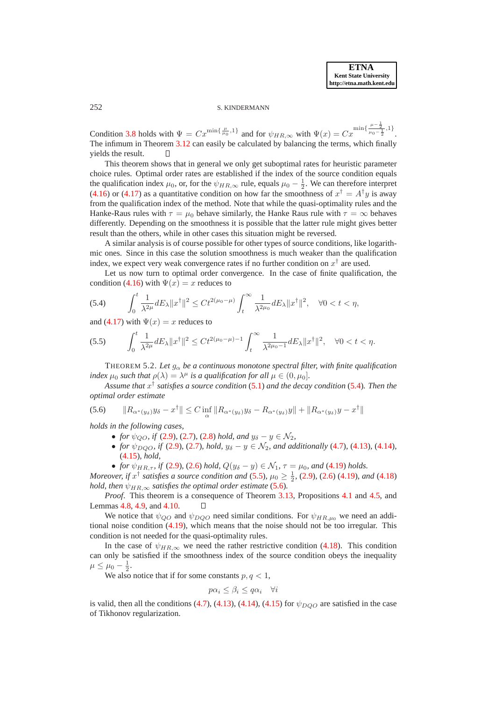252 S. KINDERMANN

Condition [3.8](#page-7-1) holds with  $\Psi = Cx^{\min\{\frac{\mu}{\mu_0},1\}}$  and for  $\psi_{HR,\infty}$  with  $\Psi(x) = Cx^{\min\{\frac{\mu-\frac{1}{2}}{\mu_0-\frac{1}{2}},1\}}$ . The infimum in Theorem [3.12](#page-8-6) can easily be calculated by balancing the terms, which finally yields the result.  $\Box$ 

This theorem shows that in general we only get suboptimal rates for heuristic parameter choice rules. Optimal order rates are established if the index of the source condition equals the qualification index  $\mu_0$ , or, for the  $\psi_{HR,\infty}$  rule, equals  $\mu_0 - \frac{1}{2}$ . We can therefore interpret [\(4.16\)](#page-15-0) or [\(4.17\)](#page-15-1) as a quantitative condition on how far the smoothness of  $x^{\dagger} = A^{\dagger}y$  is away from the qualification index of the method. Note that while the quasi-optimality rules and the Hanke-Raus rules with  $\tau = \mu_0$  behave similarly, the Hanke Raus rule with  $\tau = \infty$  behaves differently. Depending on the smoothness it is possible that the latter rule might gives better result than the others, while in other cases this situation might be reversed.

A similar analysis is of course possible for other types of source conditions, like logarithmic ones. Since in this case the solution smoothness is much weaker than the qualification index, we expect very weak convergence rates if no further condition on  $x^{\dagger}$  are used.

Let us now turn to optimal order convergence. In the case of finite qualification, the condition [\(4.16\)](#page-15-0) with  $\Psi(x) = x$  reduces to

<span id="page-19-0"></span>
$$
(5.4) \qquad \int_0^t \frac{1}{\lambda^{2\mu}} dE_\lambda \|x^\dagger\|^2 \le Ct^{2(\mu_0 - \mu)} \int_t^\infty \frac{1}{\lambda^{2\mu_0}} dE_\lambda \|x^\dagger\|^2, \quad \forall 0 < t < \eta,
$$

<span id="page-19-1"></span>and [\(4.17\)](#page-15-1) with  $\Psi(x) = x$  reduces to

$$
(5.5) \qquad \int_0^t \frac{1}{\lambda^{2\mu}} dE_\lambda \|x^\dagger\|^2 \le Ct^{2(\mu_0 - \mu) - 1} \int_t^\infty \frac{1}{\lambda^{2\mu_0 - 1}} dE_\lambda \|x^\dagger\|^2, \quad \forall 0 < t < \eta.
$$

THEOREM 5.2. Let  $g_{\alpha}$  be a continuous monotone spectral filter, with finite qualification *index*  $\mu_0$  *such that*  $\rho(\lambda) = \lambda^{\mu}$  *is a qualification for all*  $\mu \in (0, \mu_0]$ *.* 

*Assume that* x † *satisfies a source condition* [\(5.1\)](#page-17-1) *and the decay condition* [\(5.4\)](#page-19-0)*. Then the optimal order estimate*

$$
(5.6) \qquad \|R_{\alpha^*(y_\delta)}y_\delta - x^\dagger\| \le C \inf_{\alpha} \|R_{\alpha^*(y_\delta)}y_\delta - R_{\alpha^*(y_\delta)}y\| + \|R_{\alpha^*(y_\delta)}y - x^\dagger\|
$$

*holds in the following cases,*

- <span id="page-19-2"></span>• *for*  $\psi_{OO}$ *, if* [\(2.9\)](#page-2-2)*,* [\(2.7\)](#page-2-4)*,* (2.8*) hold, and*  $y_{\delta} - y \in \mathcal{N}_2$ *,*
- *for*  $\psi_{DOO}$ *, if* [\(2.9\)](#page-2-2)*,* [\(2.7\)](#page-2-4)*, hold,*  $y_{\delta} y \in \mathcal{N}_2$ *, and additionally* [\(4.7\)](#page-13-1)*,* [\(4.13\)](#page-15-3)*,* (4.14*),* [\(4.15\)](#page-15-6)*, hold,*
- *for*  $\psi_{HR,\tau}$ *, if* [\(2.9\)](#page-2-2), [\(2.6\)](#page-2-1) *hold,*  $Q(y_{\delta} y) \in \mathcal{N}_1$ ,  $\tau = \mu_0$ *, and* [\(4.19\)](#page-15-5) *holds.*

*Moreover, if*  $x^{\dagger}$  satisfies a source condition and [\(5.5\)](#page-19-1),  $\mu_0 \ge \frac{1}{2}$ , [\(2.9\)](#page-2-2), [\(2.6\)](#page-2-1) [\(4.19\)](#page-15-5)*, and* [\(4.18\)](#page-15-4) *hold, then*  $\psi_{HR,\infty}$  *satisfies the optimal order estimate* [\(5.6\)](#page-19-2)*.* 

*Proof*. This theorem is a consequence of Theorem [3.13,](#page-9-1) Propositions [4.1](#page-11-3) and [4.5,](#page-13-2) and Lemmas [4.8,](#page-16-1) [4.9,](#page-16-3) and [4.10.](#page-16-2) П

We notice that  $\psi_{QO}$  and  $\psi_{DQO}$  need similar conditions. For  $\psi_{HR,\mu_0}$  we need an additional noise condition [\(4.19\)](#page-15-5), which means that the noise should not be too irregular. This condition is not needed for the quasi-optimality rules.

In the case of  $\psi_{HR,\infty}$  we need the rather restrictive condition [\(4.18\)](#page-15-4). This condition can only be satisfied if the smoothness index of the source condition obeys the inequality  $\mu \leq \mu_0 - \frac{1}{2}.$ 

We also notice that if for some constants  $p, q < 1$ ,

$$
p\alpha_i \le \beta_i \le q\alpha_i \quad \forall i
$$

is valid, then all the conditions [\(4.7\)](#page-13-1), [\(4.13\)](#page-15-3), [\(4.14\)](#page-15-3), [\(4.15\)](#page-15-6) for  $\psi_{DQO}$  are satisfied in the case of Tikhonov regularization.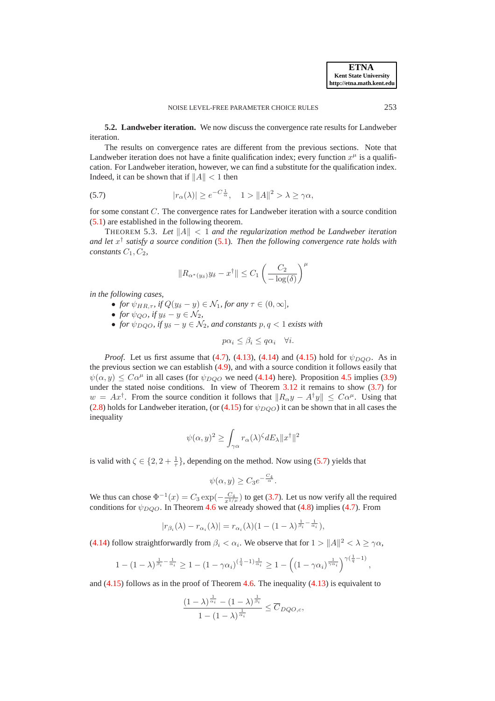,

**5.2. Landweber iteration.** We now discuss the convergence rate results for Landweber iteration.

The results on convergence rates are different from the previous sections. Note that Landweber iteration does not have a finite qualification index; every function  $x^{\mu}$  is a qualification. For Landweber iteration, however, we can find a substitute for the qualification index. Indeed, it can be shown that if  $||A|| < 1$  then

(5.7) 
$$
|r_{\alpha}(\lambda)| \ge e^{-C\frac{1}{\alpha}}, \quad 1 > ||A||^2 > \lambda \ge \gamma \alpha,
$$

for some constant C. The convergence rates for Landweber iteration with a source condition [\(5.1\)](#page-17-1) are established in the following theorem.

THEOREM 5.3. Let  $||A|| < 1$  and the regularization method be Landweber iteration *and let* x † *satisfy a source condition* [\(5.1\)](#page-17-1)*. Then the following convergence rate holds with constants*  $C_1$ ,  $C_2$ ,

<span id="page-20-0"></span>
$$
||R_{\alpha^*(y_\delta)}y_\delta - x^\dagger|| \le C_1 \left(\frac{C_2}{-\log(\delta)}\right)^{\mu}
$$

*in the following cases,*

- *for*  $\psi_{HR,\tau}$ *, if*  $Q(y_\delta y) \in \mathcal{N}_1$ *, for any*  $\tau \in (0, \infty]$ *,*
- *for*  $\psi_{QO}$ *, if*  $y_{\delta} y \in \mathcal{N}_2$ *,*
- *for*  $\psi_{DQO}$ *, if*  $y_{\delta} y \in \mathcal{N}_2$ *, and constants*  $p, q < 1$  *exists with*

$$
p\alpha_i \le \beta_i \le q\alpha_i \quad \forall i.
$$

*Proof.* Let us first assume that [\(4.7\)](#page-13-1), [\(4.13\)](#page-15-3), [\(4.14\)](#page-15-3) and [\(4.15\)](#page-15-6) hold for  $\psi_{DQO}$ . As in the previous section we can establish [\(4.9\)](#page-15-2), and with a source condition it follows easily that  $\psi(\alpha, y) \leq C\alpha^{\mu}$  in all cases (for  $\psi_{DQO}$  we need [\(4.14\)](#page-15-3) here). Proposition [4.5](#page-13-2) implies [\(3.9\)](#page-8-1) under the stated noise conditions. In view of Theorem  $3.12$  it remains to show  $(3.7)$  for  $w = Ax^{\dagger}$ . From the source condition it follows that  $||R_{\alpha}y - A^{\dagger}y|| \leq C\alpha^{\mu}$ . Using that [\(2.8\)](#page-2-3) holds for Landweber iteration, (or [\(4.15\)](#page-15-6) for  $\psi_{DQO}$ ) it can be shown that in all cases the inequality

$$
\psi(\alpha, y)^2 \ge \int_{\gamma\alpha} r_{\alpha}(\lambda)^{\zeta} dE_{\lambda} ||x^{\dagger}||^2
$$

is valid with  $\zeta \in \{2, 2 + \frac{1}{\tau}\}\,$ , depending on the method. Now using [\(5.7\)](#page-20-0) yields that

$$
\psi(\alpha, y) \ge C_3 e^{-\frac{C_4}{\alpha}}.
$$

We thus can chose  $\Phi^{-1}(x) = C_3 \exp(-\frac{C_4}{x^{1/\mu}})$  to get [\(3.7\)](#page-7-3). Let us now verify all the required conditions for  $\psi_{DOO}$ . In Theorem [4.6](#page-14-1) we already showed that [\(4.8\)](#page-14-0) implies [\(4.7\)](#page-13-1). From

$$
|r_{\beta_i}(\lambda) - r_{\alpha_i}(\lambda)| = r_{\alpha_i}(\lambda)(1 - (1 - \lambda)^{\frac{1}{\beta_i} - \frac{1}{\alpha_i}}),
$$

[\(4.14\)](#page-15-3) follow straightforwardly from  $\beta_i < \alpha_i$ . We observe that for  $1 > ||A||^2 < \lambda \ge \gamma \alpha$ ,

$$
1 - (1 - \lambda)^{\frac{1}{\beta_i} - \frac{1}{\alpha_i}} \ge 1 - (1 - \gamma \alpha_i)^{(\frac{1}{q} - 1)\frac{1}{\alpha_i}} \ge 1 - \left( (1 - \gamma \alpha_i)^{\frac{1}{\gamma \alpha_i}} \right)^{\gamma(\frac{1}{q} - 1)}
$$

and  $(4.15)$  follows as in the proof of Theorem [4.6.](#page-14-1) The inequality  $(4.13)$  is equivalent to

1

$$
\frac{(1-\lambda)^{\frac{1}{\alpha_i}} - (1-\lambda)^{\frac{1}{\beta_i}}}{1 - (1-\lambda)^{\frac{1}{\alpha_i}}} \leq \overline{C}_{DQO,c},
$$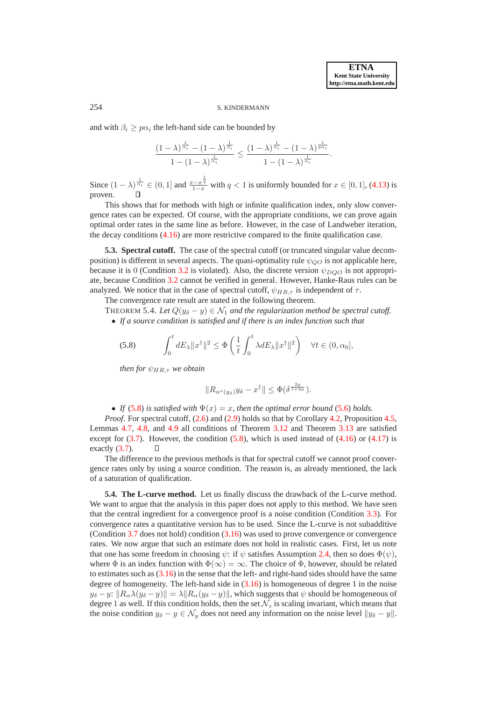#### 254 S. KINDERMANN

and with  $\beta_i \geq p\alpha_i$  the left-hand side can be bounded by

$$
\frac{(1-\lambda)^{\frac{1}{\alpha_i}}-(1-\lambda)^{\frac{1}{\beta_i}}}{1-(1-\lambda)^{\frac{1}{\alpha_i}}} \leq \frac{(1-\lambda)^{\frac{1}{\alpha_i}}-(1-\lambda)^{\frac{1}{q\alpha_i}}}{1-(1-\lambda)^{\frac{1}{\alpha_i}}}.
$$

Since  $(1 - \lambda)^{\frac{1}{\alpha_i}} \in (0, 1]$  and  $\frac{x - x^{\frac{1}{q}}}{1 - x}$  with  $q < 1$  is uniformly bounded for  $x \in [0, 1]$ , [\(4.13\)](#page-15-3) is proven.

This shows that for methods with high or infinite qualification index, only slow convergence rates can be expected. Of course, with the appropriate conditions, we can prove again optimal order rates in the same line as before. However, in the case of Landweber iteration, the decay conditions [\(4.16\)](#page-15-0) are more restrictive compared to the finite qualification case.

**5.3. Spectral cutoff.** The case of the spectral cutoff (or truncated singular value decomposition) is different in several aspects. The quasi-optimality rule  $\psi_{OO}$  is not applicable here, because it is 0 (Condition [3.2](#page-5-1) is violated). Also, the discrete version  $\psi_{DQO}$  is not appropriate, because Condition [3.2](#page-5-1) cannot be verified in general. However, Hanke-Raus rules can be analyzed. We notice that in the case of spectral cutoff,  $\psi_{HR,\tau}$  is independent of  $\tau$ .

The convergence rate result are stated in the following theorem.

THEOREM 5.4. Let  $Q(y_\delta - y) \in \mathcal{N}_1$  and the regularization method be spectral cutoff. • *If a source condition is satisfied and if there is an index function such that*

$$
\text{(5.8)} \qquad \int_0^t dE_\lambda \|x^\dagger\|^2 \le \Phi\left(\frac{1}{t} \int_0^t \lambda dE_\lambda \|x^\dagger\|^2\right) \quad \forall t \in (0, \alpha_0],
$$

*then for*  $\psi_{HR,\tau}$  *we obtain* 

<span id="page-21-0"></span>
$$
||R_{\alpha^*(y_\delta)}y_\delta - x^\dagger|| \leq \Phi(\delta^{\frac{2\mu}{1+2\mu}}).
$$

• *If* [\(5.8\)](#page-21-0) *is satisfied with*  $\Psi(x) = x$ *, then the optimal error bound* [\(5.6\)](#page-19-2) *holds.* 

*Proof.* For spectral cutoff,  $(2.6)$  and  $(2.9)$  holds so that by Corollary [4.2,](#page-12-1) Proposition [4.5,](#page-13-2) Lemmas [4.7,](#page-16-0) [4.8,](#page-16-1) and [4.9](#page-16-3) all conditions of Theorem [3.12](#page-8-6) and Theorem [3.13](#page-9-1) are satisfied except for  $(3.7)$ . However, the condition  $(5.8)$ , which is used instead of  $(4.16)$  or  $(4.17)$  is exactly [\(3.7\)](#page-7-3).

The difference to the previous methods is that for spectral cutoff we cannot proof convergence rates only by using a source condition. The reason is, as already mentioned, the lack of a saturation of qualification.

**5.4. The L-curve method.** Let us finally discuss the drawback of the L-curve method. We want to argue that the analysis in this paper does not apply to this method. We have seen that the central ingredient for a convergence proof is a noise condition (Condition [3.3\)](#page-5-3). For convergence rates a quantitative version has to be used. Since the L-curve is not subadditive (Condition [3.7](#page-7-0) does not hold) condition [\(3.16\)](#page-10-3) was used to prove convergence or convergence rates. We now argue that such an estimate does not hold in realistic cases. First, let us note that one has some freedom in choosing  $\psi$ : if  $\psi$  satisfies Assumption [2.4,](#page-4-1) then so does  $\Phi(\psi)$ , where  $\Phi$  is an index function with  $\Phi(\infty) = \infty$ . The choice of  $\Phi$ , however, should be related to estimates such as  $(3.16)$  in the sense that the left- and right-hand sides should have the same degree of homogeneity. The left-hand side in [\(3.16\)](#page-10-3) is homogeneous of degree 1 in the noise  $y_\delta - y: ||R_\alpha \lambda (y_\delta - y)|| = \lambda ||R_\alpha (y_\delta - y)||$ , which suggests that  $\psi$  should be homogeneous of degree 1 as well. If this condition holds, then the set  $\mathcal{N}_z$  is scaling invariant, which means that the noise condition  $y_{\delta} - y \in \mathcal{N}_y$  does not need any information on the noise level  $||y_{\delta} - y||$ .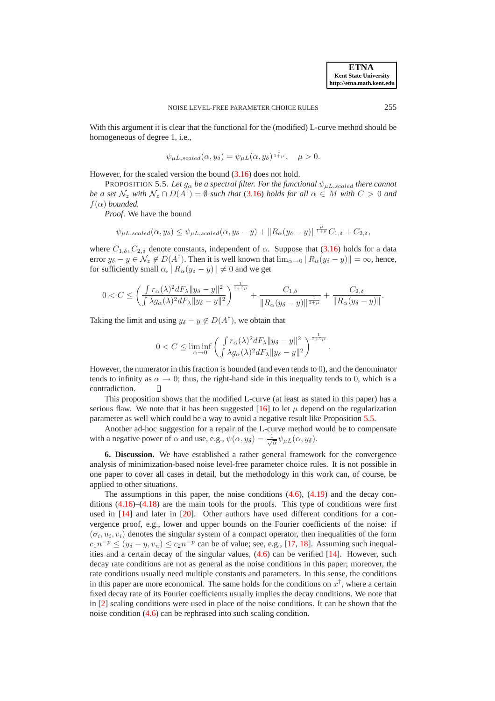With this argument it is clear that the functional for the (modified) L-curve method should be homogeneous of degree 1, i.e.,

<span id="page-22-1"></span>
$$
\psi_{\mu L, scaled}(\alpha, y_{\delta}) = \psi_{\mu L}(\alpha, y_{\delta})^{\frac{1}{1+\mu}}, \quad \mu > 0.
$$

However, for the scaled version the bound [\(3.16\)](#page-10-3) does not hold.

PROPOSITION 5.5. Let  $g_{\alpha}$  be a spectral filter. For the functional  $\psi_{\mu L, scaled}$  there cannot *be a set*  $\mathcal{N}_z$  *with*  $\mathcal{N}_z \cap D(A^{\dagger}) = \emptyset$  *such that* [\(3.16\)](#page-10-3) *holds for all*  $\alpha \in M$  *with*  $C > 0$  *and*  $f(\alpha)$  *bounded.* 

*Proof*. We have the bound

$$
\psi_{\mu L, scaled}(\alpha, y_{\delta}) \leq \psi_{\mu L, scaled}(\alpha, y_{\delta} - y) + ||R_{\alpha}(y_{\delta} - y)||^{\frac{\mu}{1 + \mu}}C_{1, \delta} + C_{2, \delta},
$$

where  $C_{1,\delta}$ ,  $C_{2,\delta}$  denote constants, independent of  $\alpha$ . Suppose that [\(3.16\)](#page-10-3) holds for a data error  $y_{\delta} - y \in \mathcal{N}_z \notin D(A^{\dagger})$ . Then it is well known that  $\lim_{\alpha \to 0} ||R_{\alpha}(y_{\delta} - y)|| = \infty$ , hence, for sufficiently small  $\alpha$ ,  $||R_{\alpha}(y_{\delta} - y)|| \neq 0$  and we get

$$
0 < C \le \left(\frac{\int r_{\alpha}(\lambda)^2 dF_{\lambda} \|y_{\delta} - y\|^2}{\int \lambda g_{\alpha}(\lambda)^2 dF_{\lambda} \|y_{\delta} - y\|^2}\right)^{\frac{1}{2+2\mu}} + \frac{C_{1,\delta}}{\|R_{\alpha}(y_{\delta} - y)\|^{\frac{1}{1+\mu}}} + \frac{C_{2,\delta}}{\|R_{\alpha}(y_{\delta} - y)\|}.
$$

Taking the limit and using  $y_{\delta} - y \notin D(A^{\dagger})$ , we obtain that

$$
0 < C \leq \liminf_{\alpha \to 0} \left( \frac{\int r_{\alpha}(\lambda)^2 dF_{\lambda} \|y_{\delta} - y\|^2}{\int \lambda g_{\alpha}(\lambda)^2 dF_{\lambda} \|y_{\delta} - y\|^2} \right)^{\frac{1}{2+2\mu}}
$$

.

However, the numerator in this fraction is bounded (and even tends to 0), and the denominator tends to infinity as  $\alpha \to 0$ ; thus, the right-hand side in this inequality tends to 0, which is a contradiction contradiction.

This proposition shows that the modified L-curve (at least as stated in this paper) has a serious flaw. We note that it has been suggested [\[16\]](#page-24-22) to let  $\mu$  depend on the regularization parameter as well which could be a way to avoid a negative result like Proposition [5.5.](#page-22-1)

Another ad-hoc suggestion for a repair of the L-curve method would be to compensate with a negative power of  $\alpha$  and use, e.g.,  $\psi(\alpha, y_\delta) = \frac{1}{\sqrt{\alpha}} \psi_{\mu L}(\alpha, y_\delta)$ .

<span id="page-22-0"></span>**6. Discussion.** We have established a rather general framework for the convergence analysis of minimization-based noise level-free parameter choice rules. It is not possible in one paper to cover all cases in detail, but the methodology in this work can, of course, be applied to other situations.

The assumptions in this paper, the noise conditions  $(4.6)$ ,  $(4.19)$  and the decay conditions  $(4.16)$ – $(4.18)$  are the main tools for the proofs. This type of conditions were first used in [\[14\]](#page-24-3) and later in [\[20\]](#page-24-4). Other authors have used different conditions for a convergence proof, e.g., lower and upper bounds on the Fourier coefficients of the noise: if  $(\sigma_i, u_i, v_i)$  denotes the singular system of a compact operator, then inequalities of the form  $c_1 n^{-p} \le (y_\delta - y, v_n) \le c_2 n^{-p}$  can be of value; see, e.g., [\[17,](#page-24-23) [18\]](#page-24-24). Assuming such inequalities and a certain decay of the singular values, [\(4.6\)](#page-13-0) can be verified [\[14\]](#page-24-3). However, such decay rate conditions are not as general as the noise conditions in this paper; moreover, the rate conditions usually need multiple constants and parameters. In this sense, the conditions in this paper are more economical. The same holds for the conditions on  $x^{\dagger}$ , where a certain fixed decay rate of its Fourier coefficients usually implies the decay conditions. We note that in [\[2\]](#page-24-2) scaling conditions were used in place of the noise conditions. It can be shown that the noise condition [\(4.6\)](#page-13-0) can be rephrased into such scaling condition.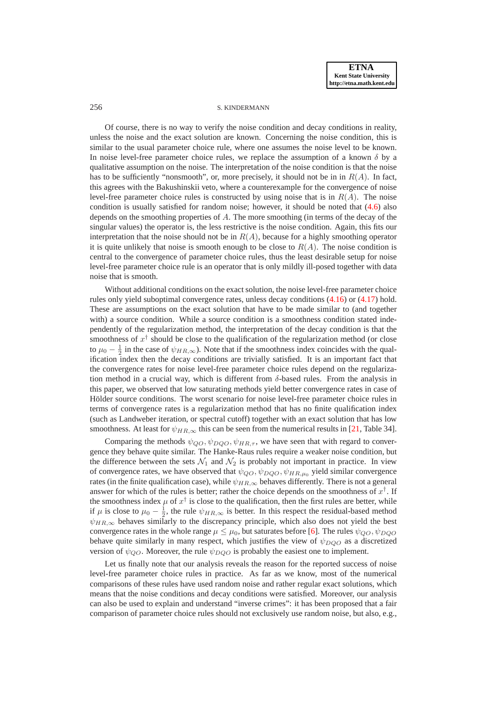## 256 S. KINDERMANN

Of course, there is no way to verify the noise condition and decay conditions in reality, unless the noise and the exact solution are known. Concerning the noise condition, this is similar to the usual parameter choice rule, where one assumes the noise level to be known. In noise level-free parameter choice rules, we replace the assumption of a known  $\delta$  by a qualitative assumption on the noise. The interpretation of the noise condition is that the noise has to be sufficiently "nonsmooth", or, more precisely, it should not be in in  $R(A)$ . In fact, this agrees with the Bakushinskii veto, where a counterexample for the convergence of noise level-free parameter choice rules is constructed by using noise that is in  $R(A)$ . The noise condition is usually satisfied for random noise; however, it should be noted that [\(4.6\)](#page-13-0) also depends on the smoothing properties of  $A$ . The more smoothing (in terms of the decay of the singular values) the operator is, the less restrictive is the noise condition. Again, this fits our interpretation that the noise should not be in  $R(A)$ , because for a highly smoothing operator it is quite unlikely that noise is smooth enough to be close to  $R(A)$ . The noise condition is central to the convergence of parameter choice rules, thus the least desirable setup for noise level-free parameter choice rule is an operator that is only mildly ill-posed together with data noise that is smooth.

Without additional conditions on the exact solution, the noise level-free parameter choice rules only yield suboptimal convergence rates, unless decay conditions [\(4.16\)](#page-15-0) or [\(4.17\)](#page-15-1) hold. These are assumptions on the exact solution that have to be made similar to (and together with) a source condition. While a source condition is a smoothness condition stated independently of the regularization method, the interpretation of the decay condition is that the smoothness of  $x^{\dagger}$  should be close to the qualification of the regularization method (or close to  $\mu_0 - \frac{1}{2}$  in the case of  $\psi_{HR,\infty}$ ). Note that if the smoothness index coincides with the qualification index then the decay conditions are trivially satisfied. It is an important fact that the convergence rates for noise level-free parameter choice rules depend on the regularization method in a crucial way, which is different from  $\delta$ -based rules. From the analysis in this paper, we observed that low saturating methods yield better convergence rates in case of Hölder source conditions. The worst scenario for noise level-free parameter choice rules in terms of convergence rates is a regularization method that has no finite qualification index (such as Landweber iteration, or spectral cutoff) together with an exact solution that has low smoothness. At least for  $\psi_{HR,\infty}$  this can be seen from the numerical results in [\[21,](#page-24-16) Table 34].

Comparing the methods  $\psi_{QO}, \psi_{DQO}, \psi_{HR,\tau}$ , we have seen that with regard to convergence they behave quite similar. The Hanke-Raus rules require a weaker noise condition, but the difference between the sets  $\mathcal{N}_1$  and  $\mathcal{N}_2$  is probably not important in practice. In view of convergence rates, we have observed that  $\psi_{QO}, \psi_{DQO}, \psi_{HR,\mu_0}$  yield similar convergence rates (in the finite qualification case), while  $\psi_{HR,\infty}$  behaves differently. There is not a general answer for which of the rules is better; rather the choice depends on the smoothness of  $x^{\dagger}$ . If the smoothness index  $\mu$  of  $x^{\dagger}$  is close to the qualification, then the first rules are better, while if  $\mu$  is close to  $\mu_0 - \frac{1}{2}$ , the rule  $\psi_{HR,\infty}$  is better. In this respect the residual-based method  $\psi_{HR,\infty}$  behaves similarly to the discrepancy principle, which also does not yield the best convergence rates in the whole range  $\mu \leq \mu_0$ , but saturates before [\[6\]](#page-24-0). The rules  $\psi_{OO}, \psi_{DOO}$ behave quite similarly in many respect, which justifies the view of  $\psi_{DOO}$  as a discretized version of  $\psi_{QO}$ . Moreover, the rule  $\psi_{DQO}$  is probably the easiest one to implement.

Let us finally note that our analysis reveals the reason for the reported success of noise level-free parameter choice rules in practice. As far as we know, most of the numerical comparisons of these rules have used random noise and rather regular exact solutions, which means that the noise conditions and decay conditions were satisfied. Moreover, our analysis can also be used to explain and understand "inverse crimes": it has been proposed that a fair comparison of parameter choice rules should not exclusively use random noise, but also, e.g.,